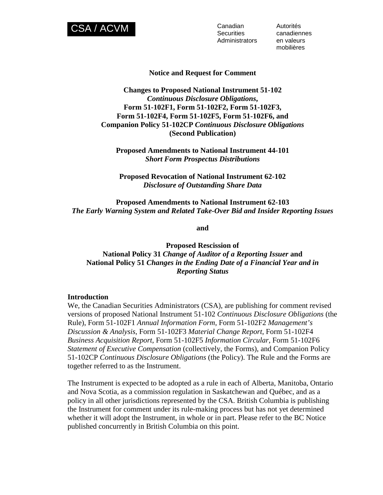

**Securities** Administrators

Autorités canadiennes en valeurs mobilières

#### **Notice and Request for Comment**

# **Changes to Proposed National Instrument 51-102**  *Continuous Disclosure Obligations***, Form 51-102F1, Form 51-102F2, Form 51-102F3, Form 51-102F4, Form 51-102F5, Form 51-102F6, and Companion Policy 51-102CP** *Continuous Disclosure Obligations* **(Second Publication)**

**Proposed Amendments to National Instrument 44-101**  *Short Form Prospectus Distributions*

**Proposed Revocation of National Instrument 62-102**  *Disclosure of Outstanding Share Data* 

**Proposed Amendments to National Instrument 62-103**  *The Early Warning System and Related Take-Over Bid and Insider Reporting Issues* 

**and** 

**Proposed Rescission of National Policy 31** *Change of Auditor of a Reporting Issuer* **and National Policy 51** *Changes in the Ending Date of a Financial Year and in Reporting Status*

#### **Introduction**

We, the Canadian Securities Administrators (CSA), are publishing for comment revised versions of proposed National Instrument 51-102 *Continuous Disclosure Obligations* (the Rule), Form 51-102F1 *Annual Information Form*, Form 51-102F2 *Management's Discussion & Analysis*, Form 51-102F3 *Material Change Report*, Form 51-102F4 *Business Acquisition Report*, Form 51-102F5 *Information Circular*, Form 51-102F6 *Statement of Executive Compensation* (collectively, the Forms), and Companion Policy 51-102CP *Continuous Disclosure Obligations* (the Policy). The Rule and the Forms are together referred to as the Instrument.

The Instrument is expected to be adopted as a rule in each of Alberta, Manitoba, Ontario and Nova Scotia, as a commission regulation in Saskatchewan and Québec, and as a policy in all other jurisdictions represented by the CSA. British Columbia is publishing the Instrument for comment under its rule-making process but has not yet determined whether it will adopt the Instrument, in whole or in part. Please refer to the BC Notice published concurrently in British Columbia on this point.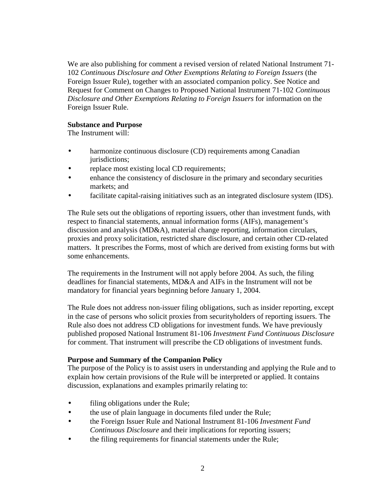We are also publishing for comment a revised version of related National Instrument 71- 102 *Continuous Disclosure and Other Exemptions Relating to Foreign Issuers* (the Foreign Issuer Rule), together with an associated companion policy. See Notice and Request for Comment on Changes to Proposed National Instrument 71-102 *Continuous Disclosure and Other Exemptions Relating to Foreign Issuers* for information on the Foreign Issuer Rule.

## **Substance and Purpose**

The Instrument will:

- harmonize continuous disclosure (CD) requirements among Canadian jurisdictions;
- replace most existing local CD requirements;
- enhance the consistency of disclosure in the primary and secondary securities markets; and
- facilitate capital-raising initiatives such as an integrated disclosure system (IDS).

The Rule sets out the obligations of reporting issuers, other than investment funds, with respect to financial statements, annual information forms (AIFs), management's discussion and analysis (MD&A), material change reporting, information circulars, proxies and proxy solicitation, restricted share disclosure, and certain other CD-related matters. It prescribes the Forms, most of which are derived from existing forms but with some enhancements.

The requirements in the Instrument will not apply before 2004. As such, the filing deadlines for financial statements, MD&A and AIFs in the Instrument will not be mandatory for financial years beginning before January 1, 2004.

The Rule does not address non-issuer filing obligations, such as insider reporting, except in the case of persons who solicit proxies from securityholders of reporting issuers. The Rule also does not address CD obligations for investment funds. We have previously published proposed National Instrument 81-106 *Investment Fund Continuous Disclosure*  for comment. That instrument will prescribe the CD obligations of investment funds.

# **Purpose and Summary of the Companion Policy**

The purpose of the Policy is to assist users in understanding and applying the Rule and to explain how certain provisions of the Rule will be interpreted or applied. It contains discussion, explanations and examples primarily relating to:

- filing obligations under the Rule;
- the use of plain language in documents filed under the Rule;
- the Foreign Issuer Rule and National Instrument 81-106 *Investment Fund Continuous Disclosure* and their implications for reporting issuers;
- the filing requirements for financial statements under the Rule;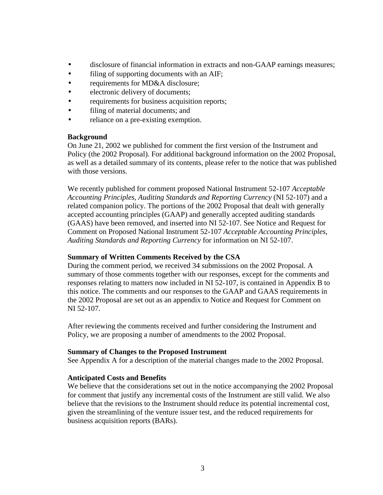- disclosure of financial information in extracts and non-GAAP earnings measures;
- filing of supporting documents with an AIF;
- requirements for MD&A disclosure;
- electronic delivery of documents;
- requirements for business acquisition reports;
- filing of material documents; and
- reliance on a pre-existing exemption.

## **Background**

On June 21, 2002 we published for comment the first version of the Instrument and Policy (the 2002 Proposal). For additional background information on the 2002 Proposal, as well as a detailed summary of its contents, please refer to the notice that was published with those versions.

We recently published for comment proposed National Instrument 52-107 *Acceptable Accounting Principles, Auditing Standards and Reporting Currency* (NI 52-107) and a related companion policy. The portions of the 2002 Proposal that dealt with generally accepted accounting principles (GAAP) and generally accepted auditing standards (GAAS) have been removed, and inserted into NI 52-107. See Notice and Request for Comment on Proposed National Instrument 52-107 *Acceptable Accounting Principles, Auditing Standards and Reporting Currency* for information on NI 52-107.

## **Summary of Written Comments Received by the CSA**

During the comment period, we received 34 submissions on the 2002 Proposal. A summary of those comments together with our responses, except for the comments and responses relating to matters now included in NI 52-107, is contained in Appendix B to this notice. The comments and our responses to the GAAP and GAAS requirements in the 2002 Proposal are set out as an appendix to Notice and Request for Comment on NI 52-107.

After reviewing the comments received and further considering the Instrument and Policy, we are proposing a number of amendments to the 2002 Proposal.

## **Summary of Changes to the Proposed Instrument**

See Appendix A for a description of the material changes made to the 2002 Proposal.

## **Anticipated Costs and Benefits**

We believe that the considerations set out in the notice accompanying the 2002 Proposal for comment that justify any incremental costs of the Instrument are still valid. We also believe that the revisions to the Instrument should reduce its potential incremental cost, given the streamlining of the venture issuer test, and the reduced requirements for business acquisition reports (BARs).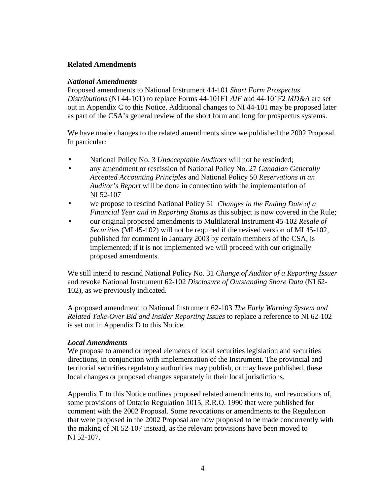# **Related Amendments**

## *National Amendments*

Proposed amendments to National Instrument 44-101 *Short Form Prospectus Distributions* (NI 44-101) to replace Forms 44-101F1 *AIF* and 44-101F2 *MD&A* are set out in Appendix C to this Notice. Additional changes to NI 44-101 may be proposed later as part of the CSA's general review of the short form and long for prospectus systems.

We have made changes to the related amendments since we published the 2002 Proposal. In particular:

- National Policy No. 3 *Unacceptable Auditors* will not be rescinded;
- any amendment or rescission of National Policy No. 27 *Canadian Generally Accepted Accounting Principles* and National Policy 50 *Reservations in an Auditor's Report* will be done in connection with the implementation of NI 52-107
- we propose to rescind National Policy 51 *Changes in the Ending Date of a Financial Year and in Reporting Status* as this subject is now covered in the Rule;
- our original proposed amendments to Multilateral Instrument 45-102 *Resale of Securities* (MI 45-102) will not be required if the revised version of MI 45-102, published for comment in January 2003 by certain members of the CSA, is implemented; if it is not implemented we will proceed with our originally proposed amendments.

We still intend to rescind National Policy No. 31 *Change of Auditor of a Reporting Issuer*  and revoke National Instrument 62-102 *Disclosure of Outstanding Share Data* (NI 62- 102), as we previously indicated.

A proposed amendment to National Instrument 62-103 *The Early Warning System and Related Take-Over Bid and Insider Reporting Issues* to replace a reference to NI 62-102 is set out in Appendix D to this Notice.

## *Local Amendments*

We propose to amend or repeal elements of local securities legislation and securities directions, in conjunction with implementation of the Instrument. The provincial and territorial securities regulatory authorities may publish, or may have published, these local changes or proposed changes separately in their local jurisdictions.

Appendix E to this Notice outlines proposed related amendments to, and revocations of, some provisions of Ontario Regulation 1015, R.R.O. 1990 that were published for comment with the 2002 Proposal. Some revocations or amendments to the Regulation that were proposed in the 2002 Proposal are now proposed to be made concurrently with the making of NI 52-107 instead, as the relevant provisions have been moved to NI 52-107.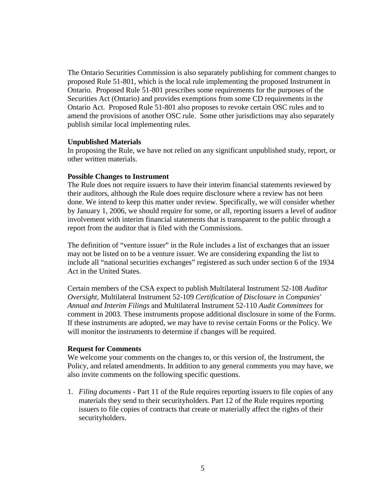The Ontario Securities Commission is also separately publishing for comment changes to proposed Rule 51-801, which is the local rule implementing the proposed Instrument in Ontario. Proposed Rule 51-801 prescribes some requirements for the purposes of the Securities Act (Ontario) and provides exemptions from some CD requirements in the Ontario Act. Proposed Rule 51-801 also proposes to revoke certain OSC rules and to amend the provisions of another OSC rule. Some other jurisdictions may also separately publish similar local implementing rules.

#### **Unpublished Materials**

In proposing the Rule, we have not relied on any significant unpublished study, report, or other written materials.

#### **Possible Changes to Instrument**

The Rule does not require issuers to have their interim financial statements reviewed by their auditors, although the Rule does require disclosure where a review has not been done. We intend to keep this matter under review. Specifically, we will consider whether by January 1, 2006, we should require for some, or all, reporting issuers a level of auditor involvement with interim financial statements that is transparent to the public through a report from the auditor that is filed with the Commissions.

The definition of "venture issuer" in the Rule includes a list of exchanges that an issuer may not be listed on to be a venture issuer. We are considering expanding the list to include all "national securities exchanges" registered as such under section 6 of the 1934 Act in the United States.

Certain members of the CSA expect to publish Multilateral Instrument 52-108 *Auditor Oversight*, Multilateral Instrument 52-109 *Certification of Disclosure in Companies' Annual and Interim Filings* and Multilateral Instrument 52-110 *Audit Committees* for comment in 2003. These instruments propose additional disclosure in some of the Forms. If these instruments are adopted, we may have to revise certain Forms or the Policy. We will monitor the instruments to determine if changes will be required.

## **Request for Comments**

We welcome your comments on the changes to, or this version of, the Instrument, the Policy, and related amendments. In addition to any general comments you may have, we also invite comments on the following specific questions.

1. *Filing documents -* Part 11 of the Rule requires reporting issuers to file copies of any materials they send to their securityholders. Part 12 of the Rule requires reporting issuers to file copies of contracts that create or materially affect the rights of their securityholders.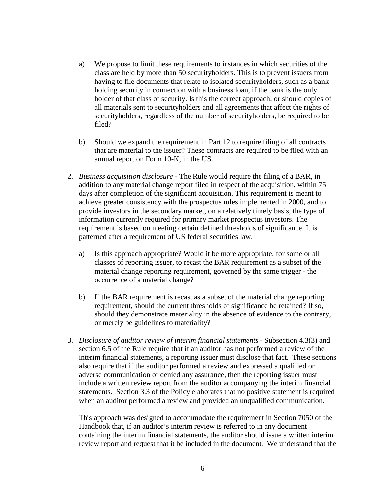- a) We propose to limit these requirements to instances in which securities of the class are held by more than 50 securityholders. This is to prevent issuers from having to file documents that relate to isolated securityholders, such as a bank holding security in connection with a business loan, if the bank is the only holder of that class of security. Is this the correct approach, or should copies of all materials sent to securityholders and all agreements that affect the rights of securityholders, regardless of the number of securityholders, be required to be filed?
- b) Should we expand the requirement in Part 12 to require filing of all contracts that are material to the issuer? These contracts are required to be filed with an annual report on Form 10-K, in the US.
- 2. *Business acquisition disclosure* The Rule would require the filing of a BAR, in addition to any material change report filed in respect of the acquisition, within 75 days after completion of the significant acquisition. This requirement is meant to achieve greater consistency with the prospectus rules implemented in 2000, and to provide investors in the secondary market, on a relatively timely basis, the type of information currently required for primary market prospectus investors. The requirement is based on meeting certain defined thresholds of significance. It is patterned after a requirement of US federal securities law.
	- a) Is this approach appropriate? Would it be more appropriate, for some or all classes of reporting issuer, to recast the BAR requirement as a subset of the material change reporting requirement, governed by the same trigger - the occurrence of a material change?
	- b) If the BAR requirement is recast as a subset of the material change reporting requirement, should the current thresholds of significance be retained? If so, should they demonstrate materiality in the absence of evidence to the contrary, or merely be guidelines to materiality?
- 3. *Disclosure of auditor review of interim financial statements* Subsection 4.3(3) and section 6.5 of the Rule require that if an auditor has not performed a review of the interim financial statements, a reporting issuer must disclose that fact. These sections also require that if the auditor performed a review and expressed a qualified or adverse communication or denied any assurance, then the reporting issuer must include a written review report from the auditor accompanying the interim financial statements. Section 3.3 of the Policy elaborates that no positive statement is required when an auditor performed a review and provided an unqualified communication.

This approach was designed to accommodate the requirement in Section 7050 of the Handbook that, if an auditor's interim review is referred to in any document containing the interim financial statements, the auditor should issue a written interim review report and request that it be included in the document. We understand that the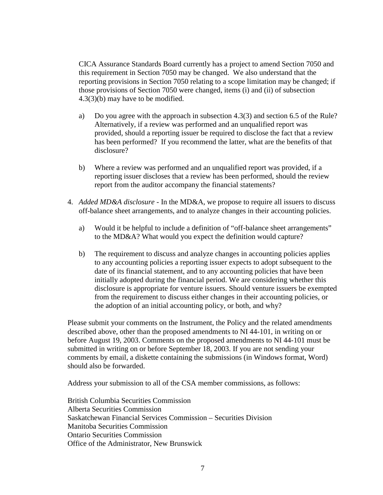CICA Assurance Standards Board currently has a project to amend Section 7050 and this requirement in Section 7050 may be changed. We also understand that the reporting provisions in Section 7050 relating to a scope limitation may be changed; if those provisions of Section 7050 were changed, items (i) and (ii) of subsection 4.3(3)(b) may have to be modified.

- a) Do you agree with the approach in subsection 4.3(3) and section 6.5 of the Rule? Alternatively, if a review was performed and an unqualified report was provided, should a reporting issuer be required to disclose the fact that a review has been performed? If you recommend the latter, what are the benefits of that disclosure?
- b) Where a review was performed and an unqualified report was provided, if a reporting issuer discloses that a review has been performed, should the review report from the auditor accompany the financial statements?
- 4. *Added MD&A disclosure* In the MD&A, we propose to require all issuers to discuss off-balance sheet arrangements, and to analyze changes in their accounting policies.
	- a) Would it be helpful to include a definition of "off-balance sheet arrangements" to the MD&A? What would you expect the definition would capture?
	- b) The requirement to discuss and analyze changes in accounting policies applies to any accounting policies a reporting issuer expects to adopt subsequent to the date of its financial statement, and to any accounting policies that have been initially adopted during the financial period. We are considering whether this disclosure is appropriate for venture issuers. Should venture issuers be exempted from the requirement to discuss either changes in their accounting policies, or the adoption of an initial accounting policy, or both, and why?

Please submit your comments on the Instrument, the Policy and the related amendments described above, other than the proposed amendments to NI 44-101, in writing on or before August 19, 2003. Comments on the proposed amendments to NI 44-101 must be submitted in writing on or before September 18, 2003. If you are not sending your comments by email, a diskette containing the submissions (in Windows format, Word) should also be forwarded.

Address your submission to all of the CSA member commissions, as follows:

British Columbia Securities Commission Alberta Securities Commission Saskatchewan Financial Services Commission – Securities Division Manitoba Securities Commission Ontario Securities Commission Office of the Administrator, New Brunswick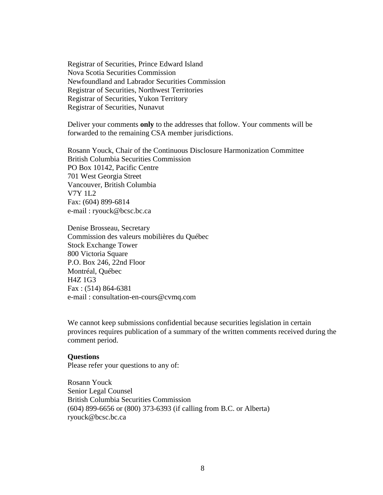Registrar of Securities, Prince Edward Island Nova Scotia Securities Commission Newfoundland and Labrador Securities Commission Registrar of Securities, Northwest Territories Registrar of Securities, Yukon Territory Registrar of Securities, Nunavut

Deliver your comments **only** to the addresses that follow. Your comments will be forwarded to the remaining CSA member jurisdictions.

Rosann Youck, Chair of the Continuous Disclosure Harmonization Committee British Columbia Securities Commission PO Box 10142, Pacific Centre 701 West Georgia Street Vancouver, British Columbia V7Y 1L2 Fax: (604) 899-6814 e-mail : ryouck@bcsc.bc.ca

Denise Brosseau, Secretary Commission des valeurs mobilières du Québec Stock Exchange Tower 800 Victoria Square P.O. Box 246, 22nd Floor Montréal, Québec H4Z 1G3 Fax : (514) 864-6381 e-mail : consultation-en-cours@cvmq.com

We cannot keep submissions confidential because securities legislation in certain provinces requires publication of a summary of the written comments received during the comment period.

#### **Questions**

Please refer your questions to any of:

Rosann Youck Senior Legal Counsel British Columbia Securities Commission (604) 899-6656 or (800) 373-6393 (if calling from B.C. or Alberta) ryouck@bcsc.bc.ca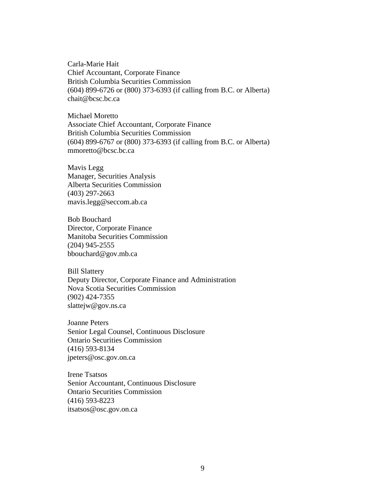Carla-Marie Hait Chief Accountant, Corporate Finance British Columbia Securities Commission (604) 899-6726 or (800) 373-6393 (if calling from B.C. or Alberta) chait@bcsc.bc.ca

Michael Moretto Associate Chief Accountant, Corporate Finance British Columbia Securities Commission (604) 899-6767 or (800) 373-6393 (if calling from B.C. or Alberta) mmoretto@bcsc.bc.ca

Mavis Legg Manager, Securities Analysis Alberta Securities Commission (403) 297-2663 mavis.legg@seccom.ab.ca

Bob Bouchard Director, Corporate Finance Manitoba Securities Commission (204) 945-2555 bbouchard@gov.mb.ca

Bill Slattery Deputy Director, Corporate Finance and Administration Nova Scotia Securities Commission (902) 424-7355 slattejw@gov.ns.ca

Joanne Peters Senior Legal Counsel, Continuous Disclosure Ontario Securities Commission (416) 593-8134 jpeters@osc.gov.on.ca

Irene Tsatsos Senior Accountant, Continuous Disclosure Ontario Securities Commission (416) 593-8223 itsatsos@osc.gov.on.ca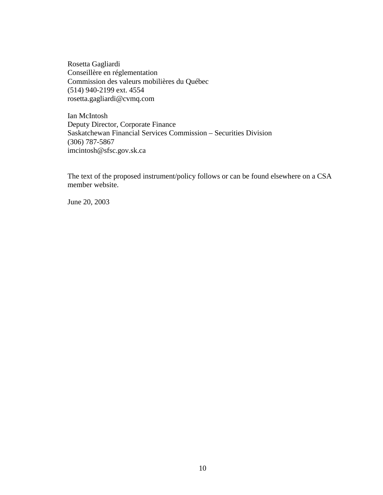Rosetta Gagliardi Conseillère en réglementation Commission des valeurs mobilières du Québec (514) 940-2199 ext. 4554 rosetta.gagliardi@cvmq.com

Ian McIntosh Deputy Director, Corporate Finance Saskatchewan Financial Services Commission – Securities Division (306) 787-5867 imcintosh@sfsc.gov.sk.ca

The text of the proposed instrument/policy follows or can be found elsewhere on a CSA member website.

June 20, 2003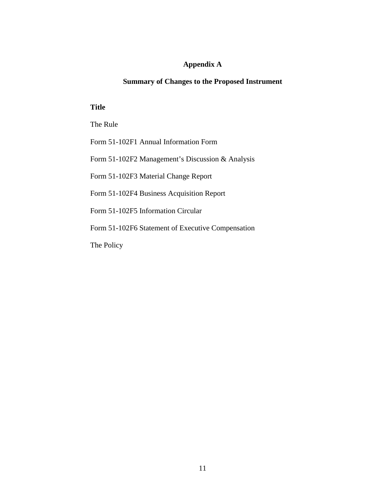# **Appendix A**

# **Summary of Changes to the Proposed Instrument**

## **Title**

The Rule

Form 51-102F1 Annual Information Form

Form 51-102F2 Management's Discussion & Analysis

Form 51-102F3 Material Change Report

Form 51-102F4 Business Acquisition Report

Form 51-102F5 Information Circular

Form 51-102F6 Statement of Executive Compensation

The Policy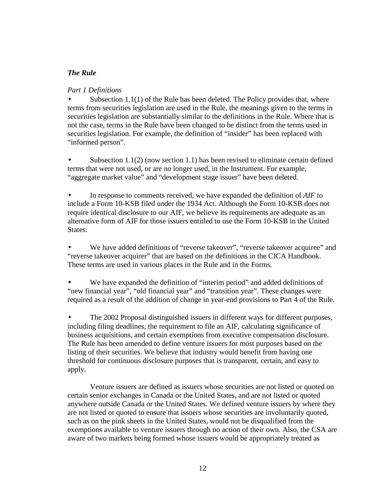# *The Rule*

# *Part 1 Definitions*

Subsection  $1.1(1)$  of the Rule has been deleted. The Policy provides that, where terms from securities legislation are used in the Rule, the meanings given to the terms in securities legislation are substantially similar to the definitions in the Rule. Where that is not the case, terms in the Rule have been changed to be distinct from the terms used in securities legislation. For example, the definition of "insider" has been replaced with "informed person".

• Subsection 1.1(2) (now section 1.1) has been revised to eliminate certain defined terms that were not used, or are no longer used, in the Instrument. For example, "aggregate market value" and "development stage issuer" have been deleted.

• In response to comments received, we have expanded the definition of *AIF* to include a Form 10-KSB filed under the 1934 Act. Although the Form 10-KSB does not require identical disclosure to our AIF, we believe its requirements are adequate as an alternative form of AIF for those issuers entitled to use the Form 10-KSB in the United States.

We have added definitions of "reverse takeover", "reverse takeover acquiree" and "reverse takeover acquirer" that are based on the definitions in the CICA Handbook. These terms are used in various places in the Rule and in the Forms.

We have expanded the definition of "interim period" and added definitions of "new financial year", "old financial year" and "transition year". These changes were required as a result of the addition of change in year-end provisions to Part 4 of the Rule.

• The 2002 Proposal distinguished issuers in different ways for different purposes, including filing deadlines, the requirement to file an AIF, calculating significance of business acquisitions, and certain exemptions from executive compensation disclosure. The Rule has been amended to define venture issuers for most purposes based on the listing of their securities. We believe that industry would benefit from having one threshold for continuous disclosure purposes that is transparent, certain, and easy to apply.

Venture issuers are defined as issuers whose securities are not listed or quoted on certain senior exchanges in Canada or the United States, and are not listed or quoted anywhere outside Canada or the United States. We defined venture issuers by where they are not listed or quoted to ensure that issuers whose securities are involuntarily quoted, such as on the pink sheets in the United States, would not be disqualified from the exemptions available to venture issuers through no action of their own. Also, the CSA are aware of two markets being formed whose issuers would be appropriately treated as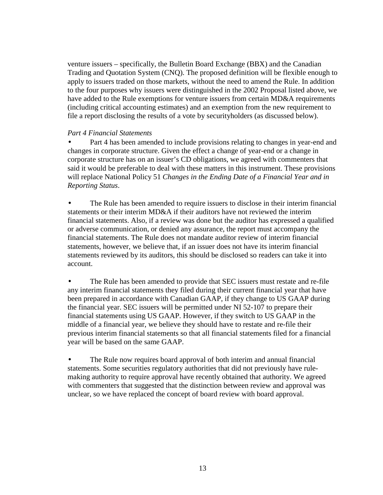venture issuers – specifically, the Bulletin Board Exchange (BBX) and the Canadian Trading and Quotation System (CNQ). The proposed definition will be flexible enough to apply to issuers traded on those markets, without the need to amend the Rule. In addition to the four purposes why issuers were distinguished in the 2002 Proposal listed above, we have added to the Rule exemptions for venture issuers from certain MD&A requirements (including critical accounting estimates) and an exemption from the new requirement to file a report disclosing the results of a vote by securityholders (as discussed below).

#### *Part 4 Financial Statements*

Part 4 has been amended to include provisions relating to changes in year-end and changes in corporate structure. Given the effect a change of year-end or a change in corporate structure has on an issuer's CD obligations, we agreed with commenters that said it would be preferable to deal with these matters in this instrument. These provisions will replace National Policy 51 *Changes in the Ending Date of a Financial Year and in Reporting Status*.

• The Rule has been amended to require issuers to disclose in their interim financial statements or their interim MD&A if their auditors have not reviewed the interim financial statements. Also, if a review was done but the auditor has expressed a qualified or adverse communication, or denied any assurance, the report must accompany the financial statements. The Rule does not mandate auditor review of interim financial statements, however, we believe that, if an issuer does not have its interim financial statements reviewed by its auditors, this should be disclosed so readers can take it into account.

• The Rule has been amended to provide that SEC issuers must restate and re-file any interim financial statements they filed during their current financial year that have been prepared in accordance with Canadian GAAP, if they change to US GAAP during the financial year. SEC issuers will be permitted under NI 52-107 to prepare their financial statements using US GAAP. However, if they switch to US GAAP in the middle of a financial year, we believe they should have to restate and re-file their previous interim financial statements so that all financial statements filed for a financial year will be based on the same GAAP.

The Rule now requires board approval of both interim and annual financial statements. Some securities regulatory authorities that did not previously have rulemaking authority to require approval have recently obtained that authority. We agreed with commenters that suggested that the distinction between review and approval was unclear, so we have replaced the concept of board review with board approval.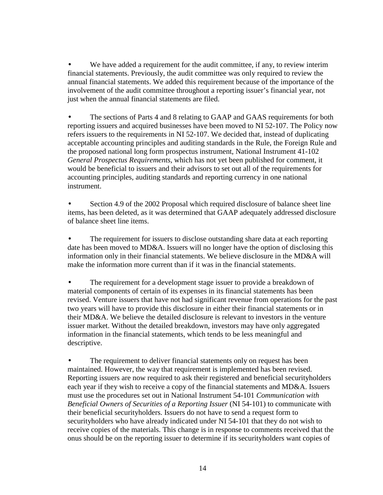We have added a requirement for the audit committee, if any, to review interim financial statements. Previously, the audit committee was only required to review the annual financial statements. We added this requirement because of the importance of the involvement of the audit committee throughout a reporting issuer's financial year, not just when the annual financial statements are filed.

• The sections of Parts 4 and 8 relating to GAAP and GAAS requirements for both reporting issuers and acquired businesses have been moved to NI 52-107. The Policy now refers issuers to the requirements in NI 52-107. We decided that, instead of duplicating acceptable accounting principles and auditing standards in the Rule, the Foreign Rule and the proposed national long form prospectus instrument, National Instrument 41-102 *General Prospectus Requirements*, which has not yet been published for comment, it would be beneficial to issuers and their advisors to set out all of the requirements for accounting principles, auditing standards and reporting currency in one national instrument.

• Section 4.9 of the 2002 Proposal which required disclosure of balance sheet line items, has been deleted, as it was determined that GAAP adequately addressed disclosure of balance sheet line items.

The requirement for issuers to disclose outstanding share data at each reporting date has been moved to MD&A. Issuers will no longer have the option of disclosing this information only in their financial statements. We believe disclosure in the MD&A will make the information more current than if it was in the financial statements.

The requirement for a development stage issuer to provide a breakdown of material components of certain of its expenses in its financial statements has been revised. Venture issuers that have not had significant revenue from operations for the past two years will have to provide this disclosure in either their financial statements or in their MD&A. We believe the detailed disclosure is relevant to investors in the venture issuer market. Without the detailed breakdown, investors may have only aggregated information in the financial statements, which tends to be less meaningful and descriptive.

The requirement to deliver financial statements only on request has been maintained. However, the way that requirement is implemented has been revised. Reporting issuers are now required to ask their registered and beneficial securityholders each year if they wish to receive a copy of the financial statements and MD&A. Issuers must use the procedures set out in National Instrument 54-101 *Communication with Beneficial Owners of Securities of a Reporting Issuer* (NI 54-101) to communicate with their beneficial securityholders. Issuers do not have to send a request form to securityholders who have already indicated under NI 54-101 that they do not wish to receive copies of the materials. This change is in response to comments received that the onus should be on the reporting issuer to determine if its securityholders want copies of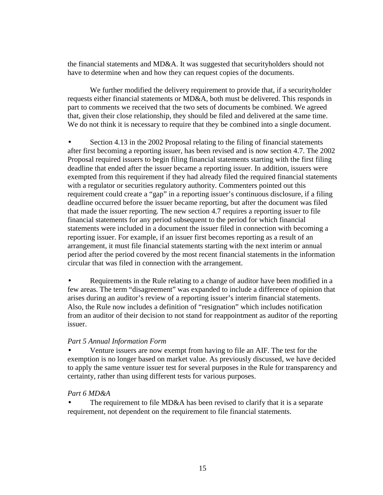the financial statements and MD&A. It was suggested that securityholders should not have to determine when and how they can request copies of the documents.

We further modified the delivery requirement to provide that, if a security holder requests either financial statements or MD&A, both must be delivered. This responds in part to comments we received that the two sets of documents be combined. We agreed that, given their close relationship, they should be filed and delivered at the same time. We do not think it is necessary to require that they be combined into a single document.

• Section 4.13 in the 2002 Proposal relating to the filing of financial statements after first becoming a reporting issuer, has been revised and is now section 4.7. The 2002 Proposal required issuers to begin filing financial statements starting with the first filing deadline that ended after the issuer became a reporting issuer. In addition, issuers were exempted from this requirement if they had already filed the required financial statements with a regulator or securities regulatory authority. Commenters pointed out this requirement could create a "gap" in a reporting issuer's continuous disclosure, if a filing deadline occurred before the issuer became reporting, but after the document was filed that made the issuer reporting. The new section 4.7 requires a reporting issuer to file financial statements for any period subsequent to the period for which financial statements were included in a document the issuer filed in connection with becoming a reporting issuer. For example, if an issuer first becomes reporting as a result of an arrangement, it must file financial statements starting with the next interim or annual period after the period covered by the most recent financial statements in the information circular that was filed in connection with the arrangement.

• Requirements in the Rule relating to a change of auditor have been modified in a few areas. The term "disagreement" was expanded to include a difference of opinion that arises during an auditor's review of a reporting issuer's interim financial statements. Also, the Rule now includes a definition of "resignation" which includes notification from an auditor of their decision to not stand for reappointment as auditor of the reporting issuer.

## *Part 5 Annual Information Form*

• Venture issuers are now exempt from having to file an AIF. The test for the exemption is no longer based on market value. As previously discussed, we have decided to apply the same venture issuer test for several purposes in the Rule for transparency and certainty, rather than using different tests for various purposes.

## *Part 6 MD&A*

The requirement to file MD&A has been revised to clarify that it is a separate requirement, not dependent on the requirement to file financial statements.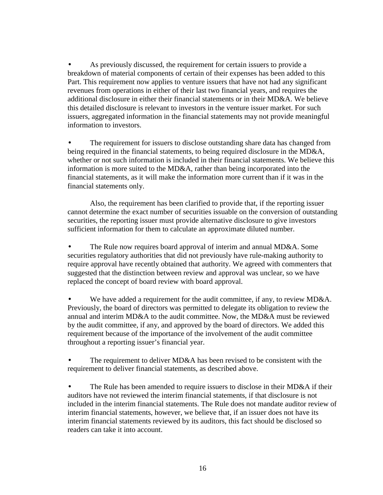As previously discussed, the requirement for certain issuers to provide a breakdown of material components of certain of their expenses has been added to this Part. This requirement now applies to venture issuers that have not had any significant revenues from operations in either of their last two financial years, and requires the additional disclosure in either their financial statements or in their MD&A. We believe this detailed disclosure is relevant to investors in the venture issuer market. For such issuers, aggregated information in the financial statements may not provide meaningful information to investors.

The requirement for issuers to disclose outstanding share data has changed from being required in the financial statements, to being required disclosure in the MD&A, whether or not such information is included in their financial statements. We believe this information is more suited to the MD&A, rather than being incorporated into the financial statements, as it will make the information more current than if it was in the financial statements only.

Also, the requirement has been clarified to provide that, if the reporting issuer cannot determine the exact number of securities issuable on the conversion of outstanding securities, the reporting issuer must provide alternative disclosure to give investors sufficient information for them to calculate an approximate diluted number.

The Rule now requires board approval of interim and annual MD&A. Some securities regulatory authorities that did not previously have rule-making authority to require approval have recently obtained that authority. We agreed with commenters that suggested that the distinction between review and approval was unclear, so we have replaced the concept of board review with board approval.

We have added a requirement for the audit committee, if any, to review MD&A. Previously, the board of directors was permitted to delegate its obligation to review the annual and interim MD&A to the audit committee. Now, the MD&A must be reviewed by the audit committee, if any, and approved by the board of directors. We added this requirement because of the importance of the involvement of the audit committee throughout a reporting issuer's financial year.

The requirement to deliver MD&A has been revised to be consistent with the requirement to deliver financial statements, as described above.

• The Rule has been amended to require issuers to disclose in their MD&A if their auditors have not reviewed the interim financial statements, if that disclosure is not included in the interim financial statements. The Rule does not mandate auditor review of interim financial statements, however, we believe that, if an issuer does not have its interim financial statements reviewed by its auditors, this fact should be disclosed so readers can take it into account.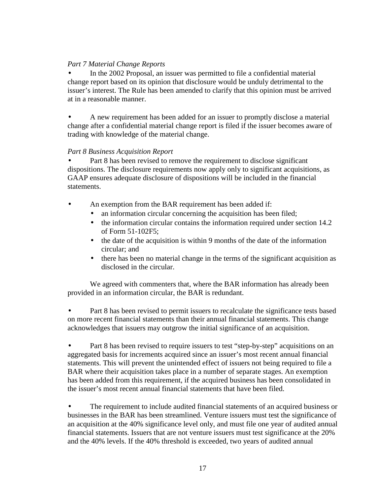# *Part 7 Material Change Reports*

• In the 2002 Proposal, an issuer was permitted to file a confidential material change report based on its opinion that disclosure would be unduly detrimental to the issuer's interest. The Rule has been amended to clarify that this opinion must be arrived at in a reasonable manner.

• A new requirement has been added for an issuer to promptly disclose a material change after a confidential material change report is filed if the issuer becomes aware of trading with knowledge of the material change.

# *Part 8 Business Acquisition Report*

Part 8 has been revised to remove the requirement to disclose significant dispositions. The disclosure requirements now apply only to significant acquisitions, as GAAP ensures adequate disclosure of dispositions will be included in the financial statements.

- An exemption from the BAR requirement has been added if:
	- an information circular concerning the acquisition has been filed;
	- the information circular contains the information required under section 14.2 of Form 51-102F5;
	- the date of the acquisition is within 9 months of the date of the information circular; and
	- there has been no material change in the terms of the significant acquisition as disclosed in the circular.

We agreed with commenters that, where the BAR information has already been provided in an information circular, the BAR is redundant.

Part 8 has been revised to permit issuers to recalculate the significance tests based on more recent financial statements than their annual financial statements. This change acknowledges that issuers may outgrow the initial significance of an acquisition.

• Part 8 has been revised to require issuers to test "step-by-step" acquisitions on an aggregated basis for increments acquired since an issuer's most recent annual financial statements. This will prevent the unintended effect of issuers not being required to file a BAR where their acquisition takes place in a number of separate stages. An exemption has been added from this requirement, if the acquired business has been consolidated in the issuer's most recent annual financial statements that have been filed.

• The requirement to include audited financial statements of an acquired business or businesses in the BAR has been streamlined. Venture issuers must test the significance of an acquisition at the 40% significance level only, and must file one year of audited annual financial statements. Issuers that are not venture issuers must test significance at the 20% and the 40% levels. If the 40% threshold is exceeded, two years of audited annual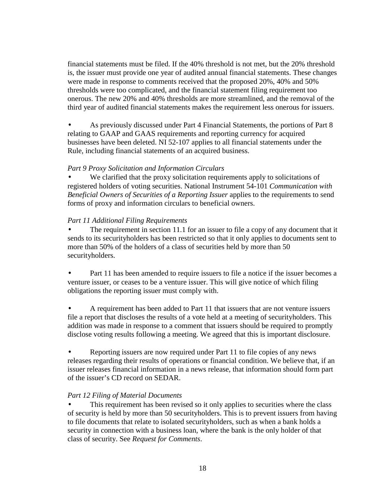financial statements must be filed. If the 40% threshold is not met, but the 20% threshold is, the issuer must provide one year of audited annual financial statements. These changes were made in response to comments received that the proposed 20%, 40% and 50% thresholds were too complicated, and the financial statement filing requirement too onerous. The new 20% and 40% thresholds are more streamlined, and the removal of the third year of audited financial statements makes the requirement less onerous for issuers.

• As previously discussed under Part 4 Financial Statements, the portions of Part 8 relating to GAAP and GAAS requirements and reporting currency for acquired businesses have been deleted. NI 52-107 applies to all financial statements under the Rule, including financial statements of an acquired business.

## *Part 9 Proxy Solicitation and Information Circulars*

We clarified that the proxy solicitation requirements apply to solicitations of registered holders of voting securities. National Instrument 54-101 *Communication with Beneficial Owners of Securities of a Reporting Issuer* applies to the requirements to send forms of proxy and information circulars to beneficial owners.

# *Part 11 Additional Filing Requirements*

The requirement in section 11.1 for an issuer to file a copy of any document that it sends to its securityholders has been restricted so that it only applies to documents sent to more than 50% of the holders of a class of securities held by more than 50 securityholders.

• Part 11 has been amended to require issuers to file a notice if the issuer becomes a venture issuer, or ceases to be a venture issuer. This will give notice of which filing obligations the reporting issuer must comply with.

• A requirement has been added to Part 11 that issuers that are not venture issuers file a report that discloses the results of a vote held at a meeting of securityholders. This addition was made in response to a comment that issuers should be required to promptly disclose voting results following a meeting. We agreed that this is important disclosure.

• Reporting issuers are now required under Part 11 to file copies of any news releases regarding their results of operations or financial condition. We believe that, if an issuer releases financial information in a news release, that information should form part of the issuer's CD record on SEDAR.

# *Part 12 Filing of Material Documents*

This requirement has been revised so it only applies to securities where the class of security is held by more than 50 securityholders. This is to prevent issuers from having to file documents that relate to isolated securityholders, such as when a bank holds a security in connection with a business loan, where the bank is the only holder of that class of security. See *Request for Comments*.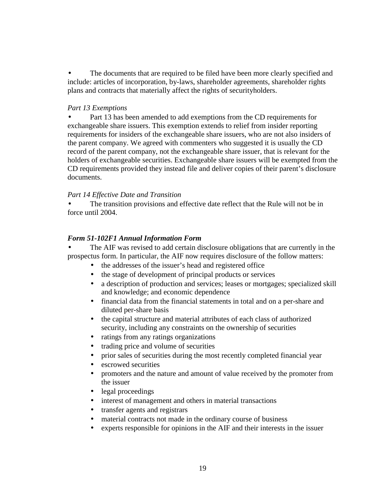• The documents that are required to be filed have been more clearly specified and include: articles of incorporation, by-laws, shareholder agreements, shareholder rights plans and contracts that materially affect the rights of securityholders.

#### *Part 13 Exemptions*

• Part 13 has been amended to add exemptions from the CD requirements for exchangeable share issuers. This exemption extends to relief from insider reporting requirements for insiders of the exchangeable share issuers, who are not also insiders of the parent company. We agreed with commenters who suggested it is usually the CD record of the parent company, not the exchangeable share issuer, that is relevant for the holders of exchangeable securities. Exchangeable share issuers will be exempted from the CD requirements provided they instead file and deliver copies of their parent's disclosure documents.

#### *Part 14 Effective Date and Transition*

The transition provisions and effective date reflect that the Rule will not be in force until 2004.

#### *Form 51-102F1 Annual Information Form*

The AIF was revised to add certain disclosure obligations that are currently in the prospectus form. In particular, the AIF now requires disclosure of the follow matters:

- the addresses of the issuer's head and registered office
- the stage of development of principal products or services
- a description of production and services; leases or mortgages; specialized skill and knowledge; and economic dependence
- financial data from the financial statements in total and on a per-share and diluted per-share basis
- the capital structure and material attributes of each class of authorized security, including any constraints on the ownership of securities
- ratings from any ratings organizations
- trading price and volume of securities
- prior sales of securities during the most recently completed financial year
- escrowed securities
- promoters and the nature and amount of value received by the promoter from the issuer
- legal proceedings
- interest of management and others in material transactions
- transfer agents and registrars
- material contracts not made in the ordinary course of business
- experts responsible for opinions in the AIF and their interests in the issuer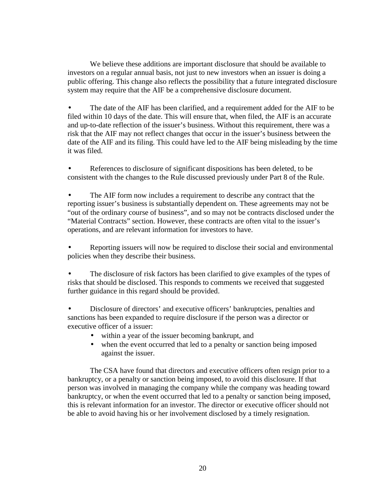We believe these additions are important disclosure that should be available to investors on a regular annual basis, not just to new investors when an issuer is doing a public offering. This change also reflects the possibility that a future integrated disclosure system may require that the AIF be a comprehensive disclosure document.

The date of the AIF has been clarified, and a requirement added for the AIF to be filed within 10 days of the date. This will ensure that, when filed, the AIF is an accurate and up-to-date reflection of the issuer's business. Without this requirement, there was a risk that the AIF may not reflect changes that occur in the issuer's business between the date of the AIF and its filing. This could have led to the AIF being misleading by the time it was filed.

• References to disclosure of significant dispositions has been deleted, to be consistent with the changes to the Rule discussed previously under Part 8 of the Rule.

The AIF form now includes a requirement to describe any contract that the reporting issuer's business is substantially dependent on. These agreements may not be "out of the ordinary course of business", and so may not be contracts disclosed under the "Material Contracts" section. However, these contracts are often vital to the issuer's operations, and are relevant information for investors to have.

• Reporting issuers will now be required to disclose their social and environmental policies when they describe their business.

The disclosure of risk factors has been clarified to give examples of the types of risks that should be disclosed. This responds to comments we received that suggested further guidance in this regard should be provided.

• Disclosure of directors' and executive officers' bankruptcies, penalties and sanctions has been expanded to require disclosure if the person was a director or executive officer of a issuer:

- within a year of the issuer becoming bankrupt, and
- when the event occurred that led to a penalty or sanction being imposed against the issuer.

The CSA have found that directors and executive officers often resign prior to a bankruptcy, or a penalty or sanction being imposed, to avoid this disclosure. If that person was involved in managing the company while the company was heading toward bankruptcy, or when the event occurred that led to a penalty or sanction being imposed, this is relevant information for an investor. The director or executive officer should not be able to avoid having his or her involvement disclosed by a timely resignation.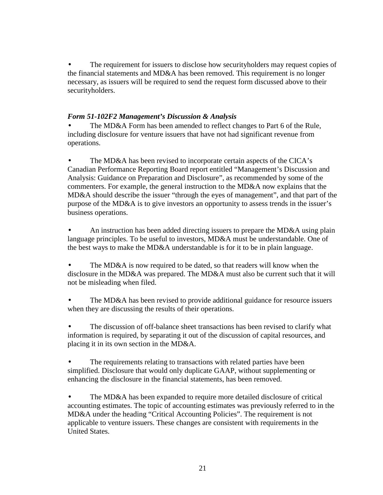The requirement for issuers to disclose how security holders may request copies of the financial statements and MD&A has been removed. This requirement is no longer necessary, as issuers will be required to send the request form discussed above to their securityholders.

# *Form 51-102F2 Management's Discussion & Analysis*

The MD&A Form has been amended to reflect changes to Part 6 of the Rule, including disclosure for venture issuers that have not had significant revenue from operations.

The MD&A has been revised to incorporate certain aspects of the CICA's Canadian Performance Reporting Board report entitled "Management's Discussion and Analysis: Guidance on Preparation and Disclosure", as recommended by some of the commenters. For example, the general instruction to the MD&A now explains that the MD&A should describe the issuer "through the eyes of management", and that part of the purpose of the MD&A is to give investors an opportunity to assess trends in the issuer's business operations.

An instruction has been added directing issuers to prepare the MD&A using plain language principles. To be useful to investors, MD&A must be understandable. One of the best ways to make the MD&A understandable is for it to be in plain language.

• The MD&A is now required to be dated, so that readers will know when the disclosure in the MD&A was prepared. The MD&A must also be current such that it will not be misleading when filed.

The MD&A has been revised to provide additional guidance for resource issuers when they are discussing the results of their operations.

The discussion of off-balance sheet transactions has been revised to clarify what information is required, by separating it out of the discussion of capital resources, and placing it in its own section in the MD&A.

The requirements relating to transactions with related parties have been simplified. Disclosure that would only duplicate GAAP, without supplementing or enhancing the disclosure in the financial statements, has been removed.

• The MD&A has been expanded to require more detailed disclosure of critical accounting estimates. The topic of accounting estimates was previously referred to in the MD&A under the heading "Critical Accounting Policies". The requirement is not applicable to venture issuers. These changes are consistent with requirements in the United States.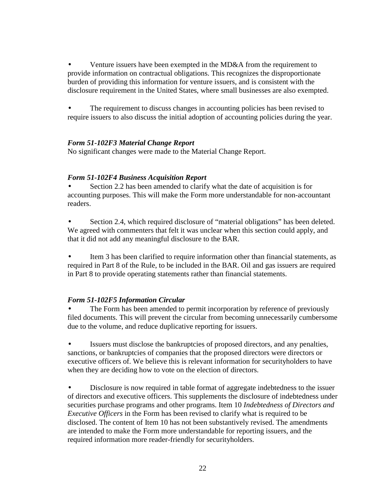• Venture issuers have been exempted in the MD&A from the requirement to provide information on contractual obligations. This recognizes the disproportionate burden of providing this information for venture issuers, and is consistent with the disclosure requirement in the United States, where small businesses are also exempted.

The requirement to discuss changes in accounting policies has been revised to require issuers to also discuss the initial adoption of accounting policies during the year.

# *Form 51-102F3 Material Change Report*

No significant changes were made to the Material Change Report.

# *Form 51-102F4 Business Acquisition Report*

• Section 2.2 has been amended to clarify what the date of acquisition is for accounting purposes. This will make the Form more understandable for non-accountant readers.

Section 2.4, which required disclosure of "material obligations" has been deleted. We agreed with commenters that felt it was unclear when this section could apply, and that it did not add any meaningful disclosure to the BAR.

• Item 3 has been clarified to require information other than financial statements, as required in Part 8 of the Rule, to be included in the BAR. Oil and gas issuers are required in Part 8 to provide operating statements rather than financial statements.

# *Form 51-102F5 Information Circular*

The Form has been amended to permit incorporation by reference of previously filed documents. This will prevent the circular from becoming unnecessarily cumbersome due to the volume, and reduce duplicative reporting for issuers.

• Issuers must disclose the bankruptcies of proposed directors, and any penalties, sanctions, or bankruptcies of companies that the proposed directors were directors or executive officers of. We believe this is relevant information for securityholders to have when they are deciding how to vote on the election of directors.

• Disclosure is now required in table format of aggregate indebtedness to the issuer of directors and executive officers. This supplements the disclosure of indebtedness under securities purchase programs and other programs. Item 10 *Indebtedness of Directors and Executive Officers* in the Form has been revised to clarify what is required to be disclosed. The content of Item 10 has not been substantively revised. The amendments are intended to make the Form more understandable for reporting issuers, and the required information more reader-friendly for securityholders.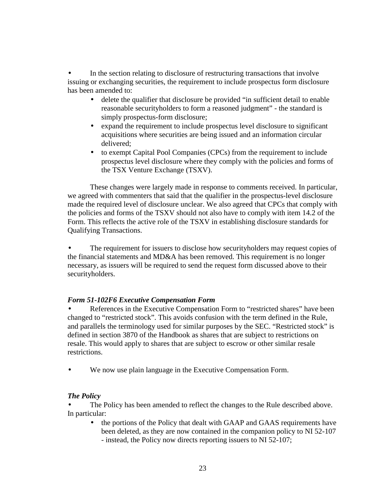In the section relating to disclosure of restructuring transactions that involve issuing or exchanging securities, the requirement to include prospectus form disclosure has been amended to:

- delete the qualifier that disclosure be provided "in sufficient detail to enable reasonable securityholders to form a reasoned judgment" - the standard is simply prospectus-form disclosure;
- expand the requirement to include prospectus level disclosure to significant acquisitions where securities are being issued and an information circular delivered;
- to exempt Capital Pool Companies (CPCs) from the requirement to include prospectus level disclosure where they comply with the policies and forms of the TSX Venture Exchange (TSXV).

These changes were largely made in response to comments received. In particular, we agreed with commenters that said that the qualifier in the prospectus-level disclosure made the required level of disclosure unclear. We also agreed that CPCs that comply with the policies and forms of the TSXV should not also have to comply with item 14.2 of the Form. This reflects the active role of the TSXV in establishing disclosure standards for Qualifying Transactions.

The requirement for issuers to disclose how security holders may request copies of the financial statements and MD&A has been removed. This requirement is no longer necessary, as issuers will be required to send the request form discussed above to their securityholders.

# *Form 51-102F6 Executive Compensation Form*

References in the Executive Compensation Form to "restricted shares" have been changed to "restricted stock". This avoids confusion with the term defined in the Rule, and parallels the terminology used for similar purposes by the SEC. "Restricted stock" is defined in section 3870 of the Handbook as shares that are subject to restrictions on resale. This would apply to shares that are subject to escrow or other similar resale restrictions.

We now use plain language in the Executive Compensation Form.

# *The Policy*

The Policy has been amended to reflect the changes to the Rule described above. In particular:

• the portions of the Policy that dealt with GAAP and GAAS requirements have been deleted, as they are now contained in the companion policy to NI 52-107 - instead, the Policy now directs reporting issuers to NI 52-107;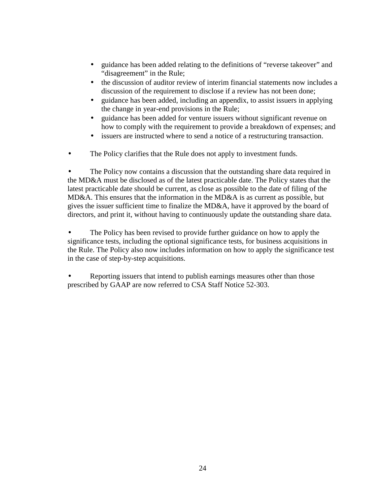- guidance has been added relating to the definitions of "reverse takeover" and "disagreement" in the Rule;
- the discussion of auditor review of interim financial statements now includes a discussion of the requirement to disclose if a review has not been done;
- guidance has been added, including an appendix, to assist issuers in applying the change in year-end provisions in the Rule;
- guidance has been added for venture issuers without significant revenue on how to comply with the requirement to provide a breakdown of expenses; and
- issuers are instructed where to send a notice of a restructuring transaction.
- The Policy clarifies that the Rule does not apply to investment funds.

The Policy now contains a discussion that the outstanding share data required in the MD&A must be disclosed as of the latest practicable date. The Policy states that the latest practicable date should be current, as close as possible to the date of filing of the MD&A. This ensures that the information in the MD&A is as current as possible, but gives the issuer sufficient time to finalize the MD&A, have it approved by the board of directors, and print it, without having to continuously update the outstanding share data.

The Policy has been revised to provide further guidance on how to apply the significance tests, including the optional significance tests, for business acquisitions in the Rule. The Policy also now includes information on how to apply the significance test in the case of step-by-step acquisitions.

• Reporting issuers that intend to publish earnings measures other than those prescribed by GAAP are now referred to CSA Staff Notice 52-303.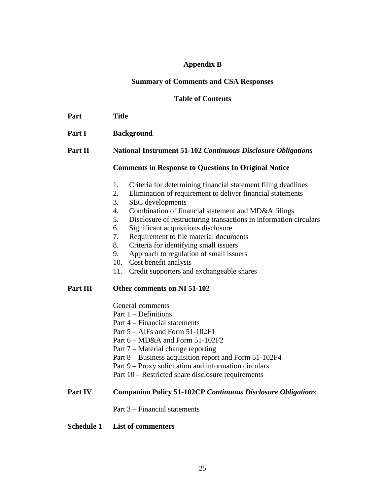# **Appendix B**

# **Summary of Comments and CSA Responses**

# **Table of Contents**

| Part     | <b>Title</b>                                                                                                                                                                                                                                                                                                                                                                                                                                                                                                                                                                                       |
|----------|----------------------------------------------------------------------------------------------------------------------------------------------------------------------------------------------------------------------------------------------------------------------------------------------------------------------------------------------------------------------------------------------------------------------------------------------------------------------------------------------------------------------------------------------------------------------------------------------------|
| Part I   | <b>Background</b>                                                                                                                                                                                                                                                                                                                                                                                                                                                                                                                                                                                  |
| Part II  | <b>National Instrument 51-102 Continuous Disclosure Obligations</b>                                                                                                                                                                                                                                                                                                                                                                                                                                                                                                                                |
|          | <b>Comments in Response to Questions In Original Notice</b>                                                                                                                                                                                                                                                                                                                                                                                                                                                                                                                                        |
|          | Criteria for determining financial statement filing deadlines<br>1.<br>Elimination of requirement to deliver financial statements<br>2.<br>3.<br><b>SEC</b> developments<br>Combination of financial statement and MD&A filings<br>4.<br>5.<br>Disclosure of restructuring transactions in information circulars<br>6.<br>Significant acquisitions disclosure<br>7.<br>Requirement to file material documents<br>Criteria for identifying small issuers<br>8.<br>Approach to regulation of small issuers<br>9.<br>Cost benefit analysis<br>10.<br>11.<br>Credit supporters and exchangeable shares |
| Part III | Other comments on NI 51-102                                                                                                                                                                                                                                                                                                                                                                                                                                                                                                                                                                        |
|          | General comments<br>Part $1$ – Definitions<br>Part 4 – Financial statements<br>Part $5 - AIFs$ and Form $51-102F1$<br>Part $6 - M D&A$ and Form $51-102F2$<br>Part 7 – Material change reporting<br>Part 8 – Business acquisition report and Form 51-102F4<br>Part 9 – Proxy solicitation and information circulars<br>Part 10 – Restricted share disclosure requirements                                                                                                                                                                                                                          |
| Part IV  | <b>Companion Policy 51-102CP Continuous Disclosure Obligations</b>                                                                                                                                                                                                                                                                                                                                                                                                                                                                                                                                 |

Part 3 – Financial statements

# **Schedule 1 List of commenters**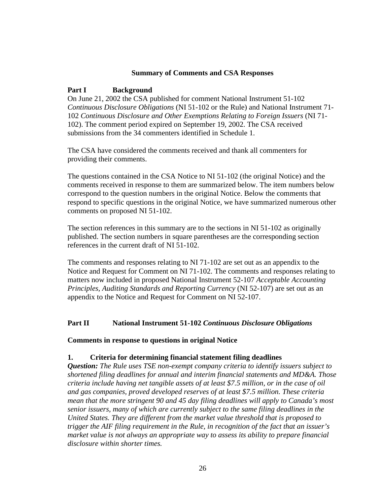#### **Summary of Comments and CSA Responses**

#### **Part I Background**

On June 21, 2002 the CSA published for comment National Instrument 51-102 *Continuous Disclosure Obligations* (NI 51-102 or the Rule) and National Instrument 71- 102 *Continuous Disclosure and Other Exemptions Relating to Foreign Issuers* (NI 71- 102). The comment period expired on September 19, 2002. The CSA received submissions from the 34 commenters identified in Schedule 1.

The CSA have considered the comments received and thank all commenters for providing their comments.

The questions contained in the CSA Notice to NI 51-102 (the original Notice) and the comments received in response to them are summarized below. The item numbers below correspond to the question numbers in the original Notice. Below the comments that respond to specific questions in the original Notice, we have summarized numerous other comments on proposed NI 51-102.

The section references in this summary are to the sections in NI 51-102 as originally published. The section numbers in square parentheses are the corresponding section references in the current draft of NI 51-102.

The comments and responses relating to NI 71-102 are set out as an appendix to the Notice and Request for Comment on NI 71-102. The comments and responses relating to matters now included in proposed National Instrument 52-107 *Acceptable Accounting Principles, Auditing Standards and Reporting Currency* (NI 52-107) are set out as an appendix to the Notice and Request for Comment on NI 52-107.

## **Part II National Instrument 51-102** *Continuous Disclosure Obligations*

#### **Comments in response to questions in original Notice**

#### **1. Criteria for determining financial statement filing deadlines**

*Question: The Rule uses TSE non-exempt company criteria to identify issuers subject to shortened filing deadlines for annual and interim financial statements and MD&A. Those criteria include having net tangible assets of at least \$7.5 million, or in the case of oil and gas companies, proved developed reserves of at least \$7.5 million. These criteria mean that the more stringent 90 and 45 day filing deadlines will apply to Canada's most senior issuers, many of which are currently subject to the same filing deadlines in the United States. They are different from the market value threshold that is proposed to trigger the AIF filing requirement in the Rule, in recognition of the fact that an issuer's market value is not always an appropriate way to assess its ability to prepare financial disclosure within shorter times.*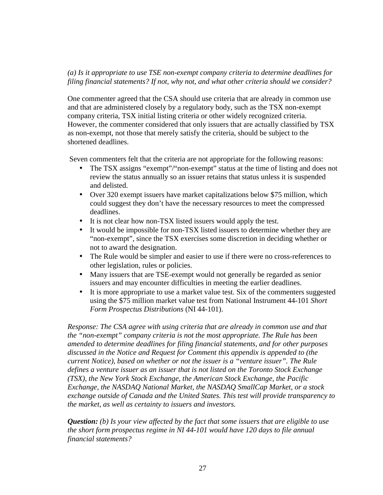# *(a) Is it appropriate to use TSE non-exempt company criteria to determine deadlines for filing financial statements? If not, why not, and what other criteria should we consider?*

One commenter agreed that the CSA should use criteria that are already in common use and that are administered closely by a regulatory body, such as the TSX non-exempt company criteria, TSX initial listing criteria or other widely recognized criteria. However, the commenter considered that only issuers that are actually classified by TSX as non-exempt, not those that merely satisfy the criteria, should be subject to the shortened deadlines.

Seven commenters felt that the criteria are not appropriate for the following reasons:

- The TSX assigns "exempt"/"non-exempt" status at the time of listing and does not review the status annually so an issuer retains that status unless it is suspended and delisted.
- Over 320 exempt issuers have market capitalizations below \$75 million, which could suggest they don't have the necessary resources to meet the compressed deadlines.
- It is not clear how non-TSX listed issuers would apply the test.
- It would be impossible for non-TSX listed issuers to determine whether they are "non-exempt", since the TSX exercises some discretion in deciding whether or not to award the designation.
- The Rule would be simpler and easier to use if there were no cross-references to other legislation, rules or policies.
- Many issuers that are TSE-exempt would not generally be regarded as senior issuers and may encounter difficulties in meeting the earlier deadlines.
- It is more appropriate to use a market value test. Six of the commenters suggested using the \$75 million market value test from National Instrument 44-101 *Short Form Prospectus Distributions* (NI 44-101).

*Response: The CSA agree with using criteria that are already in common use and that the "non-exempt" company criteria is not the most appropriate. The Rule has been amended to determine deadlines for filing financial statements, and for other purposes discussed in the Notice and Request for Comment this appendix is appended to (the current Notice), based on whether or not the issuer is a "venture issuer". The Rule defines a venture issuer as an issuer that is not listed on the Toronto Stock Exchange (TSX), the New York Stock Exchange, the American Stock Exchange, the Pacific Exchange, the NASDAQ National Market, the NASDAQ SmallCap Market, or a stock exchange outside of Canada and the United States. This test will provide transparency to the market, as well as certainty to issuers and investors.* 

*Question: (b) Is your view affected by the fact that some issuers that are eligible to use the short form prospectus regime in NI 44-101 would have 120 days to file annual financial statements?*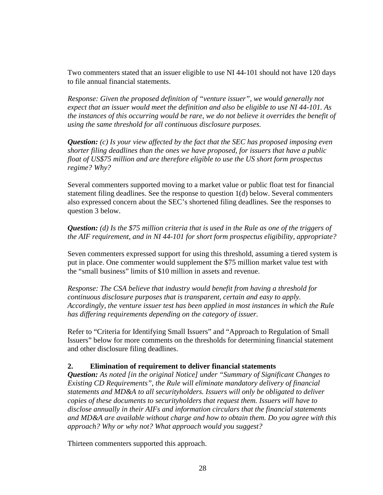Two commenters stated that an issuer eligible to use NI 44-101 should not have 120 days to file annual financial statements.

*Response: Given the proposed definition of "venture issuer", we would generally not expect that an issuer would meet the definition and also be eligible to use NI 44-101. As the instances of this occurring would be rare, we do not believe it overrides the benefit of using the same threshold for all continuous disclosure purposes.* 

*Question: (c) Is your view affected by the fact that the SEC has proposed imposing even shorter filing deadlines than the ones we have proposed, for issuers that have a public float of US\$75 million and are therefore eligible to use the US short form prospectus regime? Why?* 

Several commenters supported moving to a market value or public float test for financial statement filing deadlines. See the response to question 1(d) below. Several commenters also expressed concern about the SEC's shortened filing deadlines. See the responses to question 3 below.

*Question: (d) Is the \$75 million criteria that is used in the Rule as one of the triggers of the AIF requirement, and in NI 44-101 for short form prospectus eligibility, appropriate?* 

Seven commenters expressed support for using this threshold, assuming a tiered system is put in place. One commenter would supplement the \$75 million market value test with the "small business" limits of \$10 million in assets and revenue.

*Response: The CSA believe that industry would benefit from having a threshold for continuous disclosure purposes that is transparent, certain and easy to apply. Accordingly, the venture issuer test has been applied in most instances in which the Rule has differing requirements depending on the category of issuer.* 

Refer to "Criteria for Identifying Small Issuers" and "Approach to Regulation of Small Issuers" below for more comments on the thresholds for determining financial statement and other disclosure filing deadlines.

## **2. Elimination of requirement to deliver financial statements**

*Question: As noted [in the original Notice] under "Summary of Significant Changes to Existing CD Requirements", the Rule will eliminate mandatory delivery of financial statements and MD&A to all securityholders. Issuers will only be obligated to deliver copies of these documents to securityholders that request them. Issuers will have to disclose annually in their AIFs and information circulars that the financial statements and MD&A are available without charge and how to obtain them. Do you agree with this approach? Why or why not? What approach would you suggest?* 

Thirteen commenters supported this approach.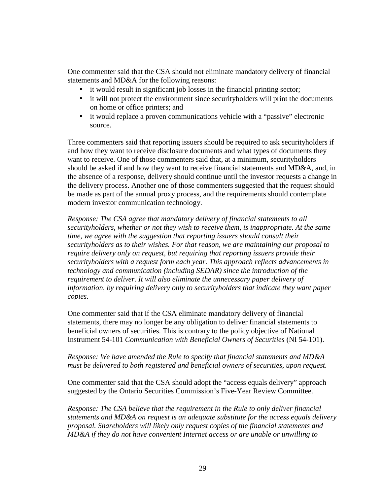One commenter said that the CSA should not eliminate mandatory delivery of financial statements and MD&A for the following reasons:

- it would result in significant job losses in the financial printing sector;
- it will not protect the environment since securityholders will print the documents on home or office printers; and
- it would replace a proven communications vehicle with a "passive" electronic source.

Three commenters said that reporting issuers should be required to ask securityholders if and how they want to receive disclosure documents and what types of documents they want to receive. One of those commenters said that, at a minimum, securityholders should be asked if and how they want to receive financial statements and MD&A, and, in the absence of a response, delivery should continue until the investor requests a change in the delivery process. Another one of those commenters suggested that the request should be made as part of the annual proxy process, and the requirements should contemplate modern investor communication technology.

*Response: The CSA agree that mandatory delivery of financial statements to all securityholders, whether or not they wish to receive them, is inappropriate. At the same time, we agree with the suggestion that reporting issuers should consult their securityholders as to their wishes. For that reason, we are maintaining our proposal to require delivery only on request, but requiring that reporting issuers provide their securityholders with a request form each year. This approach reflects advancements in technology and communication (including SEDAR) since the introduction of the requirement to deliver. It will also eliminate the unnecessary paper delivery of information, by requiring delivery only to securityholders that indicate they want paper copies.* 

One commenter said that if the CSA eliminate mandatory delivery of financial statements, there may no longer be any obligation to deliver financial statements to beneficial owners of securities. This is contrary to the policy objective of National Instrument 54-101 *Communication with Beneficial Owners of Securities* (NI 54-101).

# *Response: We have amended the Rule to specify that financial statements and MD&A must be delivered to both registered and beneficial owners of securities, upon request.*

One commenter said that the CSA should adopt the "access equals delivery" approach suggested by the Ontario Securities Commission's Five-Year Review Committee.

*Response: The CSA believe that the requirement in the Rule to only deliver financial statements and MD&A on request is an adequate substitute for the access equals delivery proposal. Shareholders will likely only request copies of the financial statements and MD&A if they do not have convenient Internet access or are unable or unwilling to*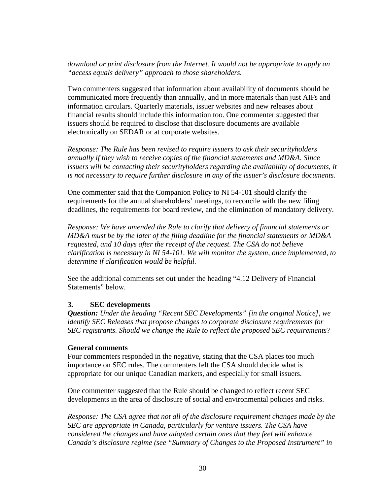# *download or print disclosure from the Internet. It would not be appropriate to apply an "access equals delivery" approach to those shareholders.*

Two commenters suggested that information about availability of documents should be communicated more frequently than annually, and in more materials than just AIFs and information circulars. Quarterly materials, issuer websites and new releases about financial results should include this information too. One commenter suggested that issuers should be required to disclose that disclosure documents are available electronically on SEDAR or at corporate websites.

*Response: The Rule has been revised to require issuers to ask their securityholders annually if they wish to receive copies of the financial statements and MD&A. Since*  issuers will be contacting their securityholders regarding the availability of documents, it *is not necessary to require further disclosure in any of the issuer's disclosure documents.* 

One commenter said that the Companion Policy to NI 54-101 should clarify the requirements for the annual shareholders' meetings, to reconcile with the new filing deadlines, the requirements for board review, and the elimination of mandatory delivery.

*Response: We have amended the Rule to clarify that delivery of financial statements or MD&A must be by the later of the filing deadline for the financial statements or MD&A requested, and 10 days after the receipt of the request. The CSA do not believe clarification is necessary in NI 54-101. We will monitor the system, once implemented, to determine if clarification would be helpful.* 

See the additional comments set out under the heading "4.12 Delivery of Financial Statements" below.

# **3. SEC developments**

*Question: Under the heading "Recent SEC Developments" [in the original Notice], we identify SEC Releases that propose changes to corporate disclosure requirements for SEC registrants. Should we change the Rule to reflect the proposed SEC requirements?* 

## **General comments**

Four commenters responded in the negative, stating that the CSA places too much importance on SEC rules. The commenters felt the CSA should decide what is appropriate for our unique Canadian markets, and especially for small issuers.

One commenter suggested that the Rule should be changed to reflect recent SEC developments in the area of disclosure of social and environmental policies and risks.

*Response: The CSA agree that not all of the disclosure requirement changes made by the SEC are appropriate in Canada, particularly for venture issuers. The CSA have considered the changes and have adopted certain ones that they feel will enhance Canada's disclosure regime (see "Summary of Changes to the Proposed Instrument" in*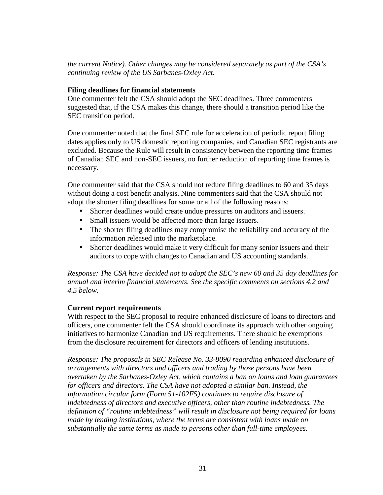*the current Notice). Other changes may be considered separately as part of the CSA's continuing review of the US Sarbanes-Oxley Act.* 

#### **Filing deadlines for financial statements**

One commenter felt the CSA should adopt the SEC deadlines. Three commenters suggested that, if the CSA makes this change, there should a transition period like the SEC transition period.

One commenter noted that the final SEC rule for acceleration of periodic report filing dates applies only to US domestic reporting companies, and Canadian SEC registrants are excluded. Because the Rule will result in consistency between the reporting time frames of Canadian SEC and non-SEC issuers, no further reduction of reporting time frames is necessary.

One commenter said that the CSA should not reduce filing deadlines to 60 and 35 days without doing a cost benefit analysis. Nine commenters said that the CSA should not adopt the shorter filing deadlines for some or all of the following reasons:

- Shorter deadlines would create undue pressures on auditors and issuers.
- Small issuers would be affected more than large issuers.
- The shorter filing deadlines may compromise the reliability and accuracy of the information released into the marketplace.
- Shorter deadlines would make it very difficult for many senior issuers and their auditors to cope with changes to Canadian and US accounting standards.

*Response: The CSA have decided not to adopt the SEC's new 60 and 35 day deadlines for annual and interim financial statements. See the specific comments on sections 4.2 and 4.5 below.* 

## **Current report requirements**

With respect to the SEC proposal to require enhanced disclosure of loans to directors and officers, one commenter felt the CSA should coordinate its approach with other ongoing initiatives to harmonize Canadian and US requirements. There should be exemptions from the disclosure requirement for directors and officers of lending institutions.

*Response: The proposals in SEC Release No. 33-8090 regarding enhanced disclosure of arrangements with directors and officers and trading by those persons have been overtaken by the Sarbanes-Oxley Act, which contains a ban on loans and loan guarantees for officers and directors. The CSA have not adopted a similar ban. Instead, the information circular form (Form 51-102F5) continues to require disclosure of indebtedness of directors and executive officers, other than routine indebtedness. The definition of "routine indebtedness" will result in disclosure not being required for loans made by lending institutions, where the terms are consistent with loans made on substantially the same terms as made to persons other than full-time employees.*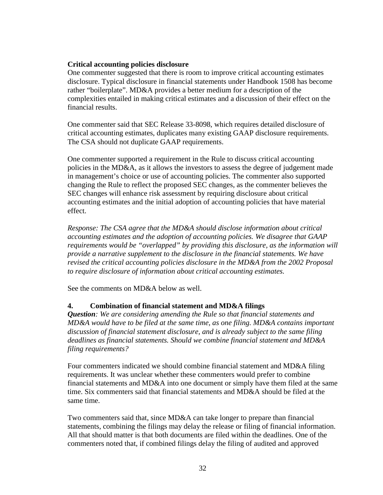# **Critical accounting policies disclosure**

One commenter suggested that there is room to improve critical accounting estimates disclosure. Typical disclosure in financial statements under Handbook 1508 has become rather "boilerplate". MD&A provides a better medium for a description of the complexities entailed in making critical estimates and a discussion of their effect on the financial results.

One commenter said that SEC Release 33-8098, which requires detailed disclosure of critical accounting estimates, duplicates many existing GAAP disclosure requirements. The CSA should not duplicate GAAP requirements.

One commenter supported a requirement in the Rule to discuss critical accounting policies in the MD&A, as it allows the investors to assess the degree of judgement made in management's choice or use of accounting policies. The commenter also supported changing the Rule to reflect the proposed SEC changes, as the commenter believes the SEC changes will enhance risk assessment by requiring disclosure about critical accounting estimates and the initial adoption of accounting policies that have material effect.

*Response: The CSA agree that the MD&A should disclose information about critical accounting estimates and the adoption of accounting policies. We disagree that GAAP requirements would be "overlapped" by providing this disclosure, as the information will provide a narrative supplement to the disclosure in the financial statements. We have revised the critical accounting policies disclosure in the MD&A from the 2002 Proposal to require disclosure of information about critical accounting estimates.* 

See the comments on MD&A below as well.

# **4. Combination of financial statement and MD&A filings**

*Question: We are considering amending the Rule so that financial statements and MD&A would have to be filed at the same time, as one filing. MD&A contains important discussion of financial statement disclosure, and is already subject to the same filing deadlines as financial statements. Should we combine financial statement and MD&A filing requirements?* 

Four commenters indicated we should combine financial statement and MD&A filing requirements. It was unclear whether these commenters would prefer to combine financial statements and MD&A into one document or simply have them filed at the same time. Six commenters said that financial statements and MD&A should be filed at the same time.

Two commenters said that, since MD&A can take longer to prepare than financial statements, combining the filings may delay the release or filing of financial information. All that should matter is that both documents are filed within the deadlines. One of the commenters noted that, if combined filings delay the filing of audited and approved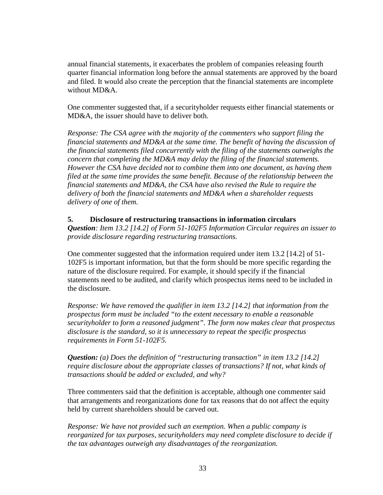annual financial statements, it exacerbates the problem of companies releasing fourth quarter financial information long before the annual statements are approved by the board and filed. It would also create the perception that the financial statements are incomplete without MD&A.

One commenter suggested that, if a securityholder requests either financial statements or MD&A, the issuer should have to deliver both.

*Response: The CSA agree with the majority of the commenters who support filing the financial statements and MD&A at the same time. The benefit of having the discussion of the financial statements filed concurrently with the filing of the statements outweighs the concern that completing the MD&A may delay the filing of the financial statements. However the CSA have decided not to combine them into one document, as having them filed at the same time provides the same benefit. Because of the relationship between the financial statements and MD&A, the CSA have also revised the Rule to require the delivery of both the financial statements and MD&A when a shareholder requests delivery of one of them.* 

## **5. Disclosure of restructuring transactions in information circulars**

*Question: Item 13.2 [14.2] of Form 51-102F5 Information Circular requires an issuer to provide disclosure regarding restructuring transactions.* 

One commenter suggested that the information required under item 13.2 [14.2] of 51- 102F5 is important information, but that the form should be more specific regarding the nature of the disclosure required. For example, it should specify if the financial statements need to be audited, and clarify which prospectus items need to be included in the disclosure.

*Response: We have removed the qualifier in item 13.2 [14.2] that information from the prospectus form must be included "to the extent necessary to enable a reasonable securityholder to form a reasoned judgment". The form now makes clear that prospectus disclosure is the standard, so it is unnecessary to repeat the specific prospectus requirements in Form 51-102F5.* 

*Question: (a) Does the definition of "restructuring transaction" in item 13.2 [14.2] require disclosure about the appropriate classes of transactions? If not, what kinds of transactions should be added or excluded, and why?* 

Three commenters said that the definition is acceptable, although one commenter said that arrangements and reorganizations done for tax reasons that do not affect the equity held by current shareholders should be carved out.

*Response: We have not provided such an exemption. When a public company is reorganized for tax purposes, securityholders may need complete disclosure to decide if the tax advantages outweigh any disadvantages of the reorganization.*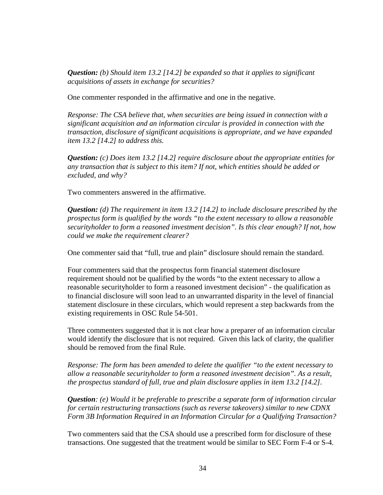*Question: (b) Should item 13.2 [14.2] be expanded so that it applies to significant acquisitions of assets in exchange for securities?* 

One commenter responded in the affirmative and one in the negative.

*Response: The CSA believe that, when securities are being issued in connection with a significant acquisition and an information circular is provided in connection with the transaction, disclosure of significant acquisitions is appropriate, and we have expanded item 13.2 [14.2] to address this.* 

*Question: (c) Does item 13.2 [14.2] require disclosure about the appropriate entities for any transaction that is subject to this item? If not, which entities should be added or excluded, and why?* 

Two commenters answered in the affirmative.

*Question: (d) The requirement in item 13.2 [14.2] to include disclosure prescribed by the prospectus form is qualified by the words "to the extent necessary to allow a reasonable securityholder to form a reasoned investment decision". Is this clear enough? If not, how could we make the requirement clearer?* 

One commenter said that "full, true and plain" disclosure should remain the standard.

Four commenters said that the prospectus form financial statement disclosure requirement should not be qualified by the words "to the extent necessary to allow a reasonable securityholder to form a reasoned investment decision" - the qualification as to financial disclosure will soon lead to an unwarranted disparity in the level of financial statement disclosure in these circulars, which would represent a step backwards from the existing requirements in OSC Rule 54-501.

Three commenters suggested that it is not clear how a preparer of an information circular would identify the disclosure that is not required. Given this lack of clarity, the qualifier should be removed from the final Rule.

*Response: The form has been amended to delete the qualifier "to the extent necessary to allow a reasonable securityholder to form a reasoned investment decision". As a result, the prospectus standard of full, true and plain disclosure applies in item 13.2 [14.2].* 

*Question: (e) Would it be preferable to prescribe a separate form of information circular for certain restructuring transactions (such as reverse takeovers) similar to new CDNX Form 3B Information Required in an Information Circular for a Qualifying Transaction?* 

Two commenters said that the CSA should use a prescribed form for disclosure of these transactions. One suggested that the treatment would be similar to SEC Form F-4 or S-4.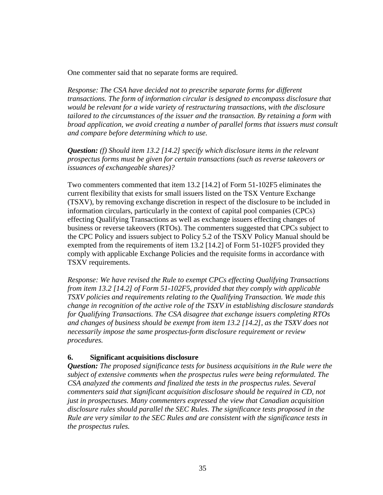One commenter said that no separate forms are required.

*Response: The CSA have decided not to prescribe separate forms for different transactions. The form of information circular is designed to encompass disclosure that would be relevant for a wide variety of restructuring transactions, with the disclosure tailored to the circumstances of the issuer and the transaction. By retaining a form with broad application, we avoid creating a number of parallel forms that issuers must consult and compare before determining which to use.* 

*Question: (f) Should item 13.2 [14.2] specify which disclosure items in the relevant prospectus forms must be given for certain transactions (such as reverse takeovers or issuances of exchangeable shares)?* 

Two commenters commented that item 13.2 [14.2] of Form 51-102F5 eliminates the current flexibility that exists for small issuers listed on the TSX Venture Exchange (TSXV), by removing exchange discretion in respect of the disclosure to be included in information circulars, particularly in the context of capital pool companies (CPCs) effecting Qualifying Transactions as well as exchange issuers effecting changes of business or reverse takeovers (RTOs). The commenters suggested that CPCs subject to the CPC Policy and issuers subject to Policy 5.2 of the TSXV Policy Manual should be exempted from the requirements of item 13.2 [14.2] of Form 51-102F5 provided they comply with applicable Exchange Policies and the requisite forms in accordance with TSXV requirements.

*Response: We have revised the Rule to exempt CPCs effecting Qualifying Transactions from item 13.2 [14.2] of Form 51-102F5, provided that they comply with applicable TSXV policies and requirements relating to the Qualifying Transaction. We made this change in recognition of the active role of the TSXV in establishing disclosure standards for Qualifying Transactions. The CSA disagree that exchange issuers completing RTOs and changes of business should be exempt from item 13.2 [14.2], as the TSXV does not necessarily impose the same prospectus-form disclosure requirement or review procedures.* 

## **6. Significant acquisitions disclosure**

*Question: The proposed significance tests for business acquisitions in the Rule were the subject of extensive comments when the prospectus rules were being reformulated. The CSA analyzed the comments and finalized the tests in the prospectus rules. Several commenters said that significant acquisition disclosure should be required in CD, not just in prospectuses. Many commenters expressed the view that Canadian acquisition disclosure rules should parallel the SEC Rules. The significance tests proposed in the Rule are very similar to the SEC Rules and are consistent with the significance tests in the prospectus rules.*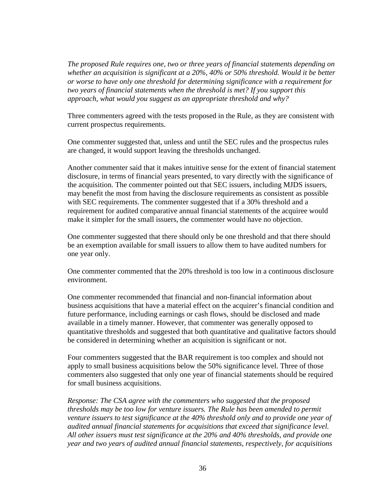*The proposed Rule requires one, two or three years of financial statements depending on whether an acquisition is significant at a 20%, 40% or 50% threshold. Would it be better or worse to have only one threshold for determining significance with a requirement for two years of financial statements when the threshold is met? If you support this approach, what would you suggest as an appropriate threshold and why?* 

Three commenters agreed with the tests proposed in the Rule, as they are consistent with current prospectus requirements.

One commenter suggested that, unless and until the SEC rules and the prospectus rules are changed, it would support leaving the thresholds unchanged.

Another commenter said that it makes intuitive sense for the extent of financial statement disclosure, in terms of financial years presented, to vary directly with the significance of the acquisition. The commenter pointed out that SEC issuers, including MJDS issuers, may benefit the most from having the disclosure requirements as consistent as possible with SEC requirements. The commenter suggested that if a 30% threshold and a requirement for audited comparative annual financial statements of the acquiree would make it simpler for the small issuers, the commenter would have no objection.

One commenter suggested that there should only be one threshold and that there should be an exemption available for small issuers to allow them to have audited numbers for one year only.

One commenter commented that the 20% threshold is too low in a continuous disclosure environment.

One commenter recommended that financial and non-financial information about business acquisitions that have a material effect on the acquirer's financial condition and future performance, including earnings or cash flows, should be disclosed and made available in a timely manner. However, that commenter was generally opposed to quantitative thresholds and suggested that both quantitative and qualitative factors should be considered in determining whether an acquisition is significant or not.

Four commenters suggested that the BAR requirement is too complex and should not apply to small business acquisitions below the 50% significance level. Three of those commenters also suggested that only one year of financial statements should be required for small business acquisitions.

*Response: The CSA agree with the commenters who suggested that the proposed thresholds may be too low for venture issuers. The Rule has been amended to permit venture issuers to test significance at the 40% threshold only and to provide one year of audited annual financial statements for acquisitions that exceed that significance level. All other issuers must test significance at the 20% and 40% thresholds, and provide one year and two years of audited annual financial statements, respectively, for acquisitions*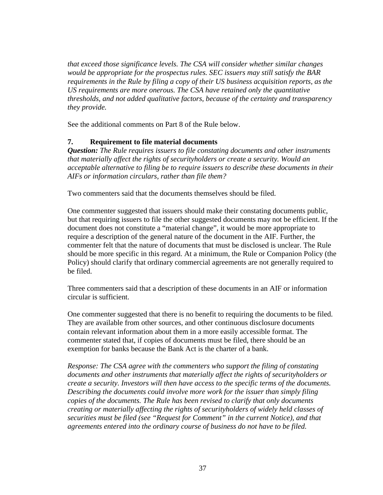*that exceed those significance levels. The CSA will consider whether similar changes would be appropriate for the prospectus rules. SEC issuers may still satisfy the BAR requirements in the Rule by filing a copy of their US business acquisition reports, as the US requirements are more onerous. The CSA have retained only the quantitative thresholds, and not added qualitative factors, because of the certainty and transparency they provide.* 

See the additional comments on Part 8 of the Rule below.

# **7. Requirement to file material documents**

*Question: The Rule requires issuers to file constating documents and other instruments that materially affect the rights of securityholders or create a security. Would an acceptable alternative to filing be to require issuers to describe these documents in their AIFs or information circulars, rather than file them?* 

Two commenters said that the documents themselves should be filed.

One commenter suggested that issuers should make their constating documents public, but that requiring issuers to file the other suggested documents may not be efficient. If the document does not constitute a "material change", it would be more appropriate to require a description of the general nature of the document in the AIF. Further, the commenter felt that the nature of documents that must be disclosed is unclear. The Rule should be more specific in this regard. At a minimum, the Rule or Companion Policy (the Policy) should clarify that ordinary commercial agreements are not generally required to be filed.

Three commenters said that a description of these documents in an AIF or information circular is sufficient.

One commenter suggested that there is no benefit to requiring the documents to be filed. They are available from other sources, and other continuous disclosure documents contain relevant information about them in a more easily accessible format. The commenter stated that, if copies of documents must be filed, there should be an exemption for banks because the Bank Act is the charter of a bank.

*Response: The CSA agree with the commenters who support the filing of constating documents and other instruments that materially affect the rights of securityholders or create a security. Investors will then have access to the specific terms of the documents. Describing the documents could involve more work for the issuer than simply filing copies of the documents. The Rule has been revised to clarify that only documents creating or materially affecting the rights of securityholders of widely held classes of securities must be filed (see "Request for Comment" in the current Notice), and that agreements entered into the ordinary course of business do not have to be filed.*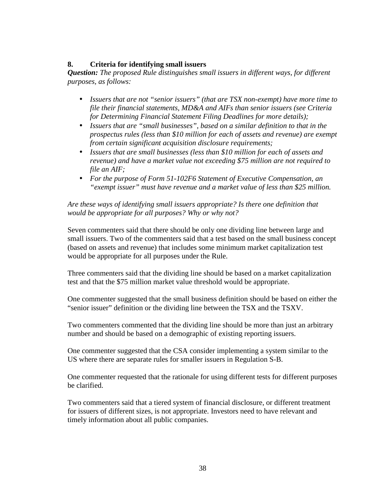# **8. Criteria for identifying small issuers**

*Question: The proposed Rule distinguishes small issuers in different ways, for different purposes, as follows:* 

- *Issuers that are not "senior issuers" (that are TSX non-exempt) have more time to file their financial statements, MD&A and AIFs than senior issuers (see Criteria for Determining Financial Statement Filing Deadlines for more details);*
- *Issuers that are "small businesses", based on a similar definition to that in the prospectus rules (less than \$10 million for each of assets and revenue) are exempt from certain significant acquisition disclosure requirements;*
- *Issuers that are small businesses (less than \$10 million for each of assets and revenue) and have a market value not exceeding \$75 million are not required to file an AIF;*
- *For the purpose of Form 51-102F6 Statement of Executive Compensation, an "exempt issuer" must have revenue and a market value of less than \$25 million.*

*Are these ways of identifying small issuers appropriate? Is there one definition that would be appropriate for all purposes? Why or why not?* 

Seven commenters said that there should be only one dividing line between large and small issuers. Two of the commenters said that a test based on the small business concept (based on assets and revenue) that includes some minimum market capitalization test would be appropriate for all purposes under the Rule.

Three commenters said that the dividing line should be based on a market capitalization test and that the \$75 million market value threshold would be appropriate.

One commenter suggested that the small business definition should be based on either the "senior issuer" definition or the dividing line between the TSX and the TSXV.

Two commenters commented that the dividing line should be more than just an arbitrary number and should be based on a demographic of existing reporting issuers.

One commenter suggested that the CSA consider implementing a system similar to the US where there are separate rules for smaller issuers in Regulation S-B.

One commenter requested that the rationale for using different tests for different purposes be clarified.

Two commenters said that a tiered system of financial disclosure, or different treatment for issuers of different sizes, is not appropriate. Investors need to have relevant and timely information about all public companies.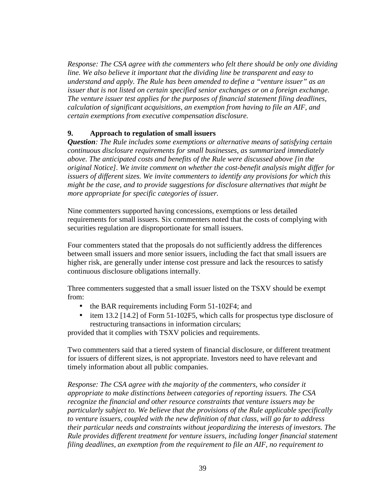*Response: The CSA agree with the commenters who felt there should be only one dividing line. We also believe it important that the dividing line be transparent and easy to understand and apply. The Rule has been amended to define a "venture issuer" as an issuer that is not listed on certain specified senior exchanges or on a foreign exchange. The venture issuer test applies for the purposes of financial statement filing deadlines, calculation of significant acquisitions, an exemption from having to file an AIF, and certain exemptions from executive compensation disclosure.* 

# **9. Approach to regulation of small issuers**

*Question: The Rule includes some exemptions or alternative means of satisfying certain continuous disclosure requirements for small businesses, as summarized immediately above. The anticipated costs and benefits of the Rule were discussed above [in the original Notice]. We invite comment on whether the cost-benefit analysis might differ for issuers of different sizes. We invite commenters to identify any provisions for which this might be the case, and to provide suggestions for disclosure alternatives that might be more appropriate for specific categories of issuer.* 

Nine commenters supported having concessions, exemptions or less detailed requirements for small issuers. Six commenters noted that the costs of complying with securities regulation are disproportionate for small issuers.

Four commenters stated that the proposals do not sufficiently address the differences between small issuers and more senior issuers, including the fact that small issuers are higher risk, are generally under intense cost pressure and lack the resources to satisfy continuous disclosure obligations internally.

Three commenters suggested that a small issuer listed on the TSXV should be exempt from:

- the BAR requirements including Form 51-102F4; and
- item 13.2 [14.2] of Form 51-102F5, which calls for prospectus type disclosure of restructuring transactions in information circulars;

provided that it complies with TSXV policies and requirements.

Two commenters said that a tiered system of financial disclosure, or different treatment for issuers of different sizes, is not appropriate. Investors need to have relevant and timely information about all public companies.

*Response: The CSA agree with the majority of the commenters, who consider it appropriate to make distinctions between categories of reporting issuers. The CSA recognize the financial and other resource constraints that venture issuers may be particularly subject to. We believe that the provisions of the Rule applicable specifically to venture issuers, coupled with the new definition of that class, will go far to address their particular needs and constraints without jeopardizing the interests of investors. The Rule provides different treatment for venture issuers, including longer financial statement filing deadlines, an exemption from the requirement to file an AIF, no requirement to*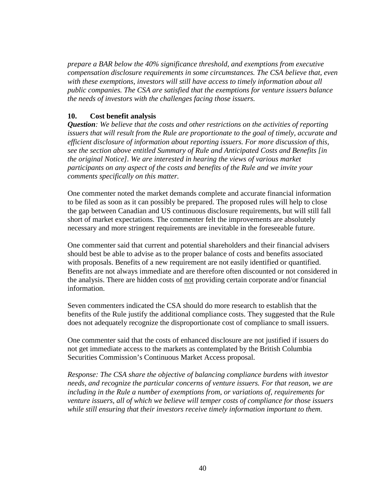*prepare a BAR below the 40% significance threshold, and exemptions from executive compensation disclosure requirements in some circumstances. The CSA believe that, even with these exemptions, investors will still have access to timely information about all public companies. The CSA are satisfied that the exemptions for venture issuers balance the needs of investors with the challenges facing those issuers.* 

# **10. Cost benefit analysis**

*Question: We believe that the costs and other restrictions on the activities of reporting issuers that will result from the Rule are proportionate to the goal of timely, accurate and efficient disclosure of information about reporting issuers. For more discussion of this, see the section above entitled Summary of Rule and Anticipated Costs and Benefits [in the original Notice]. We are interested in hearing the views of various market participants on any aspect of the costs and benefits of the Rule and we invite your comments specifically on this matter.* 

One commenter noted the market demands complete and accurate financial information to be filed as soon as it can possibly be prepared. The proposed rules will help to close the gap between Canadian and US continuous disclosure requirements, but will still fall short of market expectations. The commenter felt the improvements are absolutely necessary and more stringent requirements are inevitable in the foreseeable future.

One commenter said that current and potential shareholders and their financial advisers should best be able to advise as to the proper balance of costs and benefits associated with proposals. Benefits of a new requirement are not easily identified or quantified. Benefits are not always immediate and are therefore often discounted or not considered in the analysis. There are hidden costs of not providing certain corporate and/or financial information.

Seven commenters indicated the CSA should do more research to establish that the benefits of the Rule justify the additional compliance costs. They suggested that the Rule does not adequately recognize the disproportionate cost of compliance to small issuers.

One commenter said that the costs of enhanced disclosure are not justified if issuers do not get immediate access to the markets as contemplated by the British Columbia Securities Commission's Continuous Market Access proposal.

*Response: The CSA share the objective of balancing compliance burdens with investor needs, and recognize the particular concerns of venture issuers. For that reason, we are including in the Rule a number of exemptions from, or variations of, requirements for venture issuers, all of which we believe will temper costs of compliance for those issuers while still ensuring that their investors receive timely information important to them.*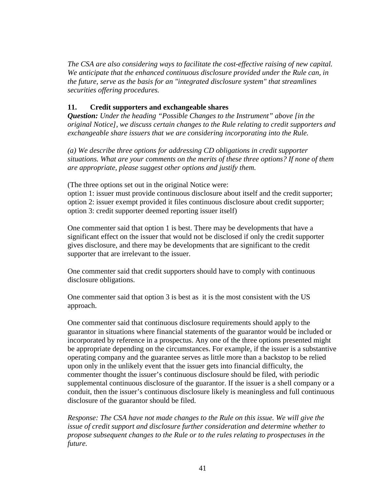*The CSA are also considering ways to facilitate the cost-effective raising of new capital. We anticipate that the enhanced continuous disclosure provided under the Rule can, in the future, serve as the basis for an "integrated disclosure system" that streamlines securities offering procedures.* 

# **11. Credit supporters and exchangeable shares**

*Question: Under the heading "Possible Changes to the Instrument" above [in the original Notice], we discuss certain changes to the Rule relating to credit supporters and exchangeable share issuers that we are considering incorporating into the Rule.* 

*(a) We describe three options for addressing CD obligations in credit supporter situations. What are your comments on the merits of these three options? If none of them are appropriate, please suggest other options and justify them.* 

(The three options set out in the original Notice were:

option 1: issuer must provide continuous disclosure about itself and the credit supporter; option 2: issuer exempt provided it files continuous disclosure about credit supporter; option 3: credit supporter deemed reporting issuer itself)

One commenter said that option 1 is best. There may be developments that have a significant effect on the issuer that would not be disclosed if only the credit supporter gives disclosure, and there may be developments that are significant to the credit supporter that are irrelevant to the issuer.

One commenter said that credit supporters should have to comply with continuous disclosure obligations.

One commenter said that option 3 is best as it is the most consistent with the US approach.

One commenter said that continuous disclosure requirements should apply to the guarantor in situations where financial statements of the guarantor would be included or incorporated by reference in a prospectus. Any one of the three options presented might be appropriate depending on the circumstances. For example, if the issuer is a substantive operating company and the guarantee serves as little more than a backstop to be relied upon only in the unlikely event that the issuer gets into financial difficulty, the commenter thought the issuer's continuous disclosure should be filed, with periodic supplemental continuous disclosure of the guarantor. If the issuer is a shell company or a conduit, then the issuer's continuous disclosure likely is meaningless and full continuous disclosure of the guarantor should be filed.

*Response: The CSA have not made changes to the Rule on this issue. We will give the issue of credit support and disclosure further consideration and determine whether to propose subsequent changes to the Rule or to the rules relating to prospectuses in the future.*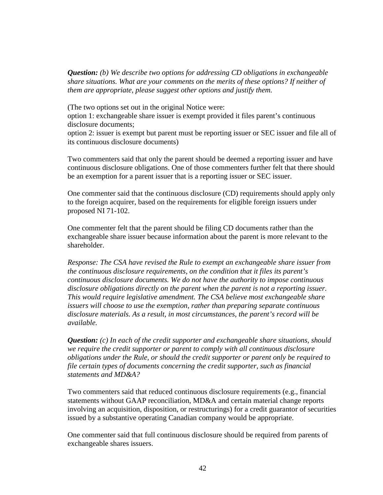*Question: (b) We describe two options for addressing CD obligations in exchangeable share situations. What are your comments on the merits of these options? If neither of them are appropriate, please suggest other options and justify them.* 

(The two options set out in the original Notice were:

option 1: exchangeable share issuer is exempt provided it files parent's continuous disclosure documents;

option 2: issuer is exempt but parent must be reporting issuer or SEC issuer and file all of its continuous disclosure documents)

Two commenters said that only the parent should be deemed a reporting issuer and have continuous disclosure obligations. One of those commenters further felt that there should be an exemption for a parent issuer that is a reporting issuer or SEC issuer.

One commenter said that the continuous disclosure (CD) requirements should apply only to the foreign acquirer, based on the requirements for eligible foreign issuers under proposed NI 71-102.

One commenter felt that the parent should be filing CD documents rather than the exchangeable share issuer because information about the parent is more relevant to the shareholder.

*Response: The CSA have revised the Rule to exempt an exchangeable share issuer from the continuous disclosure requirements, on the condition that it files its parent's continuous disclosure documents. We do not have the authority to impose continuous disclosure obligations directly on the parent when the parent is not a reporting issuer. This would require legislative amendment. The CSA believe most exchangeable share issuers will choose to use the exemption, rather than preparing separate continuous disclosure materials. As a result, in most circumstances, the parent's record will be available.* 

*Question: (c) In each of the credit supporter and exchangeable share situations, should we require the credit supporter or parent to comply with all continuous disclosure obligations under the Rule, or should the credit supporter or parent only be required to file certain types of documents concerning the credit supporter, such as financial statements and MD&A?* 

Two commenters said that reduced continuous disclosure requirements (e.g., financial statements without GAAP reconciliation, MD&A and certain material change reports involving an acquisition, disposition, or restructurings) for a credit guarantor of securities issued by a substantive operating Canadian company would be appropriate.

One commenter said that full continuous disclosure should be required from parents of exchangeable shares issuers.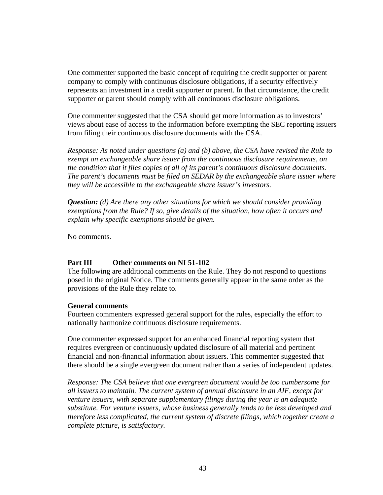One commenter supported the basic concept of requiring the credit supporter or parent company to comply with continuous disclosure obligations, if a security effectively represents an investment in a credit supporter or parent. In that circumstance, the credit supporter or parent should comply with all continuous disclosure obligations.

One commenter suggested that the CSA should get more information as to investors' views about ease of access to the information before exempting the SEC reporting issuers from filing their continuous disclosure documents with the CSA.

*Response: As noted under questions (a) and (b) above, the CSA have revised the Rule to exempt an exchangeable share issuer from the continuous disclosure requirements, on the condition that it files copies of all of its parent's continuous disclosure documents. The parent's documents must be filed on SEDAR by the exchangeable share issuer where they will be accessible to the exchangeable share issuer's investors.* 

*Question: (d) Are there any other situations for which we should consider providing exemptions from the Rule? If so, give details of the situation, how often it occurs and explain why specific exemptions should be given.* 

No comments.

## **Part III Other comments on NI 51-102**

The following are additional comments on the Rule. They do not respond to questions posed in the original Notice. The comments generally appear in the same order as the provisions of the Rule they relate to.

## **General comments**

Fourteen commenters expressed general support for the rules, especially the effort to nationally harmonize continuous disclosure requirements.

One commenter expressed support for an enhanced financial reporting system that requires evergreen or continuously updated disclosure of all material and pertinent financial and non-financial information about issuers. This commenter suggested that there should be a single evergreen document rather than a series of independent updates.

*Response: The CSA believe that one evergreen document would be too cumbersome for all issuers to maintain. The current system of annual disclosure in an AIF, except for venture issuers, with separate supplementary filings during the year is an adequate substitute. For venture issuers, whose business generally tends to be less developed and therefore less complicated, the current system of discrete filings, which together create a complete picture, is satisfactory.*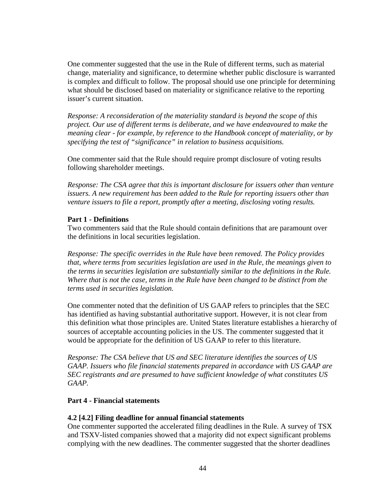One commenter suggested that the use in the Rule of different terms, such as material change, materiality and significance, to determine whether public disclosure is warranted is complex and difficult to follow. The proposal should use one principle for determining what should be disclosed based on materiality or significance relative to the reporting issuer's current situation.

*Response: A reconsideration of the materiality standard is beyond the scope of this project. Our use of different terms is deliberate, and we have endeavoured to make the meaning clear - for example, by reference to the Handbook concept of materiality, or by specifying the test of "significance" in relation to business acquisitions.* 

One commenter said that the Rule should require prompt disclosure of voting results following shareholder meetings.

*Response: The CSA agree that this is important disclosure for issuers other than venture issuers. A new requirement has been added to the Rule for reporting issuers other than venture issuers to file a report, promptly after a meeting, disclosing voting results.* 

# **Part 1 - Definitions**

Two commenters said that the Rule should contain definitions that are paramount over the definitions in local securities legislation.

*Response: The specific overrides in the Rule have been removed. The Policy provides that, where terms from securities legislation are used in the Rule, the meanings given to the terms in securities legislation are substantially similar to the definitions in the Rule. Where that is not the case, terms in the Rule have been changed to be distinct from the terms used in securities legislation.* 

One commenter noted that the definition of US GAAP refers to principles that the SEC has identified as having substantial authoritative support. However, it is not clear from this definition what those principles are. United States literature establishes a hierarchy of sources of acceptable accounting policies in the US. The commenter suggested that it would be appropriate for the definition of US GAAP to refer to this literature.

*Response: The CSA believe that US and SEC literature identifies the sources of US GAAP. Issuers who file financial statements prepared in accordance with US GAAP are SEC registrants and are presumed to have sufficient knowledge of what constitutes US GAAP.* 

# **Part 4 - Financial statements**

## **4.2 [4.2] Filing deadline for annual financial statements**

One commenter supported the accelerated filing deadlines in the Rule. A survey of TSX and TSXV-listed companies showed that a majority did not expect significant problems complying with the new deadlines. The commenter suggested that the shorter deadlines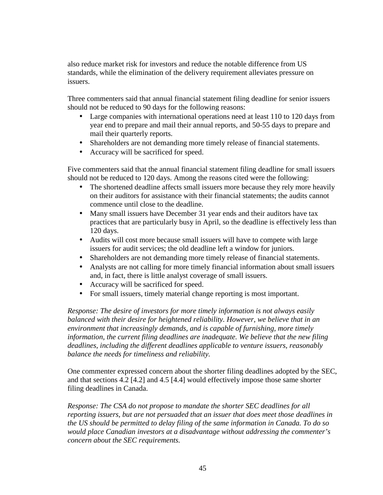also reduce market risk for investors and reduce the notable difference from US standards, while the elimination of the delivery requirement alleviates pressure on issuers.

Three commenters said that annual financial statement filing deadline for senior issuers should not be reduced to 90 days for the following reasons:

- Large companies with international operations need at least 110 to 120 days from year end to prepare and mail their annual reports, and 50-55 days to prepare and mail their quarterly reports.
- Shareholders are not demanding more timely release of financial statements.
- Accuracy will be sacrificed for speed.

Five commenters said that the annual financial statement filing deadline for small issuers should not be reduced to 120 days. Among the reasons cited were the following:

- The shortened deadline affects small issuers more because they rely more heavily on their auditors for assistance with their financial statements; the audits cannot commence until close to the deadline.
- Many small issuers have December 31 year ends and their auditors have tax practices that are particularly busy in April, so the deadline is effectively less than 120 days.
- Audits will cost more because small issuers will have to compete with large issuers for audit services; the old deadline left a window for juniors.
- Shareholders are not demanding more timely release of financial statements.
- Analysts are not calling for more timely financial information about small issuers and, in fact, there is little analyst coverage of small issuers.
- Accuracy will be sacrificed for speed.
- For small issuers, timely material change reporting is most important.

*Response: The desire of investors for more timely information is not always easily balanced with their desire for heightened reliability. However, we believe that in an environment that increasingly demands, and is capable of furnishing, more timely information, the current filing deadlines are inadequate. We believe that the new filing deadlines, including the different deadlines applicable to venture issuers, reasonably balance the needs for timeliness and reliability.* 

One commenter expressed concern about the shorter filing deadlines adopted by the SEC, and that sections 4.2 [4.2] and 4.5 [4.4] would effectively impose those same shorter filing deadlines in Canada.

*Response: The CSA do not propose to mandate the shorter SEC deadlines for all reporting issuers, but are not persuaded that an issuer that does meet those deadlines in the US should be permitted to delay filing of the same information in Canada. To do so would place Canadian investors at a disadvantage without addressing the commenter's concern about the SEC requirements.*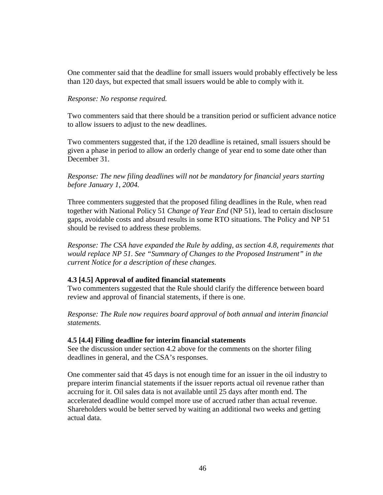One commenter said that the deadline for small issuers would probably effectively be less than 120 days, but expected that small issuers would be able to comply with it.

## *Response: No response required.*

Two commenters said that there should be a transition period or sufficient advance notice to allow issuers to adjust to the new deadlines.

Two commenters suggested that, if the 120 deadline is retained, small issuers should be given a phase in period to allow an orderly change of year end to some date other than December 31.

*Response: The new filing deadlines will not be mandatory for financial years starting before January 1, 2004.* 

Three commenters suggested that the proposed filing deadlines in the Rule, when read together with National Policy 51 *Change of Year End* (NP 51), lead to certain disclosure gaps, avoidable costs and absurd results in some RTO situations. The Policy and NP 51 should be revised to address these problems.

*Response: The CSA have expanded the Rule by adding, as section 4.8, requirements that would replace NP 51. See "Summary of Changes to the Proposed Instrument" in the current Notice for a description of these changes.* 

## **4.3 [4.5] Approval of audited financial statements**

Two commenters suggested that the Rule should clarify the difference between board review and approval of financial statements, if there is one.

*Response: The Rule now requires board approval of both annual and interim financial statements.* 

## **4.5 [4.4] Filing deadline for interim financial statements**

See the discussion under section 4.2 above for the comments on the shorter filing deadlines in general, and the CSA's responses.

One commenter said that 45 days is not enough time for an issuer in the oil industry to prepare interim financial statements if the issuer reports actual oil revenue rather than accruing for it. Oil sales data is not available until 25 days after month end. The accelerated deadline would compel more use of accrued rather than actual revenue. Shareholders would be better served by waiting an additional two weeks and getting actual data.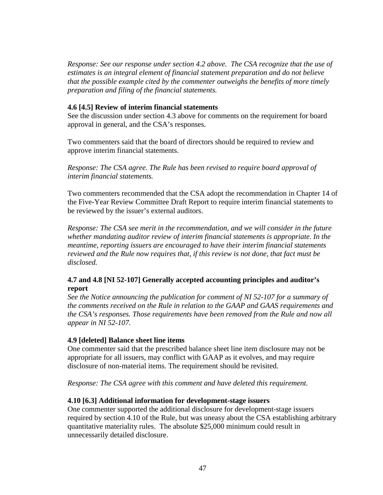*Response: See our response under section 4.2 above. The CSA recognize that the use of estimates is an integral element of financial statement preparation and do not believe that the possible example cited by the commenter outweighs the benefits of more timely preparation and filing of the financial statements.* 

## **4.6 [4.5] Review of interim financial statements**

See the discussion under section 4.3 above for comments on the requirement for board approval in general, and the CSA's responses.

Two commenters said that the board of directors should be required to review and approve interim financial statements.

*Response: The CSA agree. The Rule has been revised to require board approval of interim financial statements.* 

Two commenters recommended that the CSA adopt the recommendation in Chapter 14 of the Five-Year Review Committee Draft Report to require interim financial statements to be reviewed by the issuer's external auditors.

*Response: The CSA see merit in the recommendation, and we will consider in the future whether mandating auditor review of interim financial statements is appropriate. In the meantime, reporting issuers are encouraged to have their interim financial statements reviewed and the Rule now requires that, if this review is not done, that fact must be disclosed.* 

# **4.7 and 4.8 [NI 52-107] Generally accepted accounting principles and auditor's report**

*See the Notice announcing the publication for comment of NI 52-107 for a summary of the comments received on the Rule in relation to the GAAP and GAAS requirements and the CSA's responses. Those requirements have been removed from the Rule and now all appear in NI 52-107.* 

#### **4.9 [deleted] Balance sheet line items**

One commenter said that the prescribed balance sheet line item disclosure may not be appropriate for all issuers, may conflict with GAAP as it evolves, and may require disclosure of non-material items. The requirement should be revisited.

*Response: The CSA agree with this comment and have deleted this requirement.* 

#### **4.10 [6.3] Additional information for development-stage issuers**

One commenter supported the additional disclosure for development-stage issuers required by section 4.10 of the Rule, but was uneasy about the CSA establishing arbitrary quantitative materiality rules. The absolute \$25,000 minimum could result in unnecessarily detailed disclosure.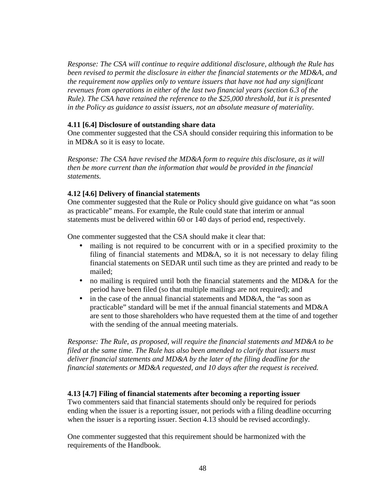*Response: The CSA will continue to require additional disclosure, although the Rule has been revised to permit the disclosure in either the financial statements or the MD&A, and the requirement now applies only to venture issuers that have not had any significant revenues from operations in either of the last two financial years (section 6.3 of the Rule). The CSA have retained the reference to the \$25,000 threshold, but it is presented in the Policy as guidance to assist issuers, not an absolute measure of materiality.* 

## **4.11 [6.4] Disclosure of outstanding share data**

One commenter suggested that the CSA should consider requiring this information to be in MD&A so it is easy to locate.

*Response: The CSA have revised the MD&A form to require this disclosure, as it will then be more current than the information that would be provided in the financial statements.* 

# **4.12 [4.6] Delivery of financial statements**

One commenter suggested that the Rule or Policy should give guidance on what "as soon as practicable" means. For example, the Rule could state that interim or annual statements must be delivered within 60 or 140 days of period end, respectively.

One commenter suggested that the CSA should make it clear that:

- mailing is not required to be concurrent with or in a specified proximity to the filing of financial statements and MD&A, so it is not necessary to delay filing financial statements on SEDAR until such time as they are printed and ready to be mailed;
- no mailing is required until both the financial statements and the MD&A for the period have been filed (so that multiple mailings are not required); and
- in the case of the annual financial statements and MD&A, the "as soon as practicable" standard will be met if the annual financial statements and MD&A are sent to those shareholders who have requested them at the time of and together with the sending of the annual meeting materials.

*Response: The Rule, as proposed, will require the financial statements and MD&A to be filed at the same time. The Rule has also been amended to clarify that issuers must deliver financial statements and MD&A by the later of the filing deadline for the financial statements or MD&A requested, and 10 days after the request is received.* 

## **4.13 [4.7] Filing of financial statements after becoming a reporting issuer**

Two commenters said that financial statements should only be required for periods ending when the issuer is a reporting issuer, not periods with a filing deadline occurring when the issuer is a reporting issuer. Section 4.13 should be revised accordingly.

One commenter suggested that this requirement should be harmonized with the requirements of the Handbook.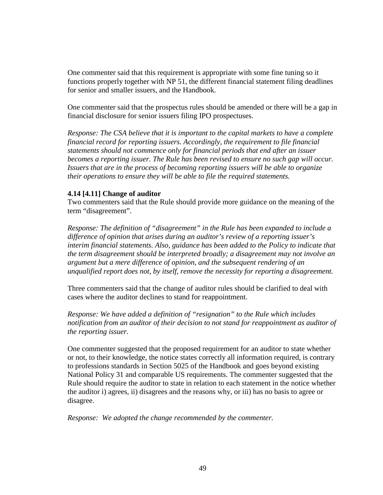One commenter said that this requirement is appropriate with some fine tuning so it functions properly together with NP 51, the different financial statement filing deadlines for senior and smaller issuers, and the Handbook.

One commenter said that the prospectus rules should be amended or there will be a gap in financial disclosure for senior issuers filing IPO prospectuses.

*Response: The CSA believe that it is important to the capital markets to have a complete financial record for reporting issuers. Accordingly, the requirement to file financial statements should not commence only for financial periods that end after an issuer becomes a reporting issuer. The Rule has been revised to ensure no such gap will occur. Issuers that are in the process of becoming reporting issuers will be able to organize their operations to ensure they will be able to file the required statements.* 

## **4.14 [4.11] Change of auditor**

Two commenters said that the Rule should provide more guidance on the meaning of the term "disagreement".

*Response: The definition of "disagreement" in the Rule has been expanded to include a difference of opinion that arises during an auditor's review of a reporting issuer's interim financial statements. Also, guidance has been added to the Policy to indicate that the term disagreement should be interpreted broadly; a disagreement may not involve an argument but a mere difference of opinion, and the subsequent rendering of an unqualified report does not, by itself, remove the necessity for reporting a disagreement.* 

Three commenters said that the change of auditor rules should be clarified to deal with cases where the auditor declines to stand for reappointment.

*Response: We have added a definition of "resignation" to the Rule which includes notification from an auditor of their decision to not stand for reappointment as auditor of the reporting issuer.* 

One commenter suggested that the proposed requirement for an auditor to state whether or not, to their knowledge, the notice states correctly all information required, is contrary to professions standards in Section 5025 of the Handbook and goes beyond existing National Policy 31 and comparable US requirements. The commenter suggested that the Rule should require the auditor to state in relation to each statement in the notice whether the auditor i) agrees, ii) disagrees and the reasons why, or iii) has no basis to agree or disagree.

*Response: We adopted the change recommended by the commenter.*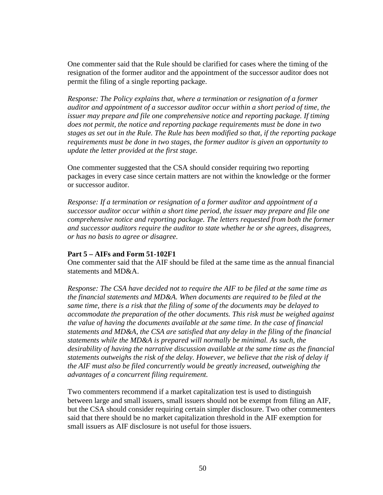One commenter said that the Rule should be clarified for cases where the timing of the resignation of the former auditor and the appointment of the successor auditor does not permit the filing of a single reporting package.

*Response: The Policy explains that, where a termination or resignation of a former auditor and appointment of a successor auditor occur within a short period of time, the issuer may prepare and file one comprehensive notice and reporting package. If timing does not permit, the notice and reporting package requirements must be done in two stages as set out in the Rule. The Rule has been modified so that, if the reporting package requirements must be done in two stages, the former auditor is given an opportunity to update the letter provided at the first stage.* 

One commenter suggested that the CSA should consider requiring two reporting packages in every case since certain matters are not within the knowledge or the former or successor auditor.

*Response: If a termination or resignation of a former auditor and appointment of a successor auditor occur within a short time period, the issuer may prepare and file one comprehensive notice and reporting package. The letters requested from both the former and successor auditors require the auditor to state whether he or she agrees, disagrees, or has no basis to agree or disagree.* 

## **Part 5 – AIFs and Form 51-102F1**

One commenter said that the AIF should be filed at the same time as the annual financial statements and MD&A.

*Response: The CSA have decided not to require the AIF to be filed at the same time as the financial statements and MD&A. When documents are required to be filed at the same time, there is a risk that the filing of some of the documents may be delayed to accommodate the preparation of the other documents. This risk must be weighed against the value of having the documents available at the same time. In the case of financial statements and MD&A, the CSA are satisfied that any delay in the filing of the financial statements while the MD&A is prepared will normally be minimal. As such, the desirability of having the narrative discussion available at the same time as the financial statements outweighs the risk of the delay. However, we believe that the risk of delay if the AIF must also be filed concurrently would be greatly increased, outweighing the advantages of a concurrent filing requirement.* 

Two commenters recommend if a market capitalization test is used to distinguish between large and small issuers, small issuers should not be exempt from filing an AIF, but the CSA should consider requiring certain simpler disclosure. Two other commenters said that there should be no market capitalization threshold in the AIF exemption for small issuers as AIF disclosure is not useful for those issuers.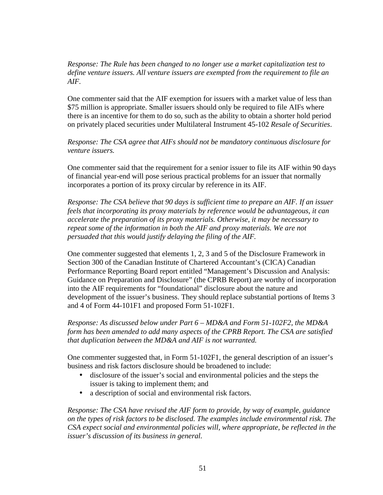*Response: The Rule has been changed to no longer use a market capitalization test to define venture issuers. All venture issuers are exempted from the requirement to file an AIF.* 

One commenter said that the AIF exemption for issuers with a market value of less than \$75 million is appropriate. Smaller issuers should only be required to file AIFs where there is an incentive for them to do so, such as the ability to obtain a shorter hold period on privately placed securities under Multilateral Instrument 45-102 *Resale of Securities*.

*Response: The CSA agree that AIFs should not be mandatory continuous disclosure for venture issuers.* 

One commenter said that the requirement for a senior issuer to file its AIF within 90 days of financial year-end will pose serious practical problems for an issuer that normally incorporates a portion of its proxy circular by reference in its AIF.

*Response: The CSA believe that 90 days is sufficient time to prepare an AIF. If an issuer feels that incorporating its proxy materials by reference would be advantageous, it can accelerate the preparation of its proxy materials. Otherwise, it may be necessary to repeat some of the information in both the AIF and proxy materials. We are not persuaded that this would justify delaying the filing of the AIF.* 

One commenter suggested that elements 1, 2, 3 and 5 of the Disclosure Framework in Section 300 of the Canadian Institute of Chartered Accountant's (CICA) Canadian Performance Reporting Board report entitled "Management's Discussion and Analysis: Guidance on Preparation and Disclosure" (the CPRB Report) are worthy of incorporation into the AIF requirements for "foundational" disclosure about the nature and development of the issuer's business. They should replace substantial portions of Items 3 and 4 of Form 44-101F1 and proposed Form 51-102F1.

*Response: As discussed below under Part 6 – MD&A and Form 51-102F2, the MD&A form has been amended to add many aspects of the CPRB Report. The CSA are satisfied that duplication between the MD&A and AIF is not warranted.* 

One commenter suggested that, in Form 51-102F1, the general description of an issuer's business and risk factors disclosure should be broadened to include:

- disclosure of the issuer's social and environmental policies and the steps the issuer is taking to implement them; and
- a description of social and environmental risk factors.

*Response: The CSA have revised the AIF form to provide, by way of example, guidance on the types of risk factors to be disclosed. The examples include environmental risk. The CSA expect social and environmental policies will, where appropriate, be reflected in the issuer's discussion of its business in general.*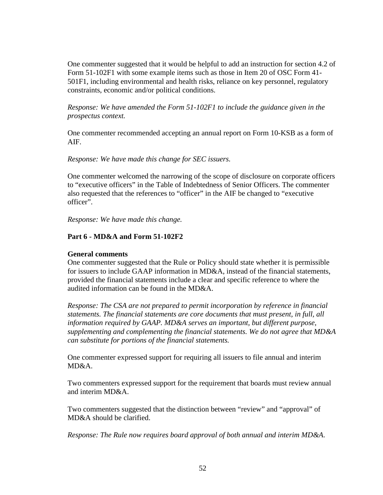One commenter suggested that it would be helpful to add an instruction for section 4.2 of Form 51-102F1 with some example items such as those in Item 20 of OSC Form 41- 501F1, including environmental and health risks, reliance on key personnel, regulatory constraints, economic and/or political conditions.

*Response: We have amended the Form 51-102F1 to include the guidance given in the prospectus context.* 

One commenter recommended accepting an annual report on Form 10-KSB as a form of AIF.

## *Response: We have made this change for SEC issuers.*

One commenter welcomed the narrowing of the scope of disclosure on corporate officers to "executive officers" in the Table of Indebtedness of Senior Officers. The commenter also requested that the references to "officer" in the AIF be changed to "executive officer".

*Response: We have made this change.* 

## **Part 6 - MD&A and Form 51-102F2**

## **General comments**

One commenter suggested that the Rule or Policy should state whether it is permissible for issuers to include GAAP information in MD&A, instead of the financial statements, provided the financial statements include a clear and specific reference to where the audited information can be found in the MD&A.

*Response: The CSA are not prepared to permit incorporation by reference in financial statements. The financial statements are core documents that must present, in full, all information required by GAAP. MD&A serves an important, but different purpose, supplementing and complementing the financial statements. We do not agree that MD&A can substitute for portions of the financial statements.* 

One commenter expressed support for requiring all issuers to file annual and interim MD&A.

Two commenters expressed support for the requirement that boards must review annual and interim MD&A.

Two commenters suggested that the distinction between "review" and "approval" of MD&A should be clarified.

*Response: The Rule now requires board approval of both annual and interim MD&A.*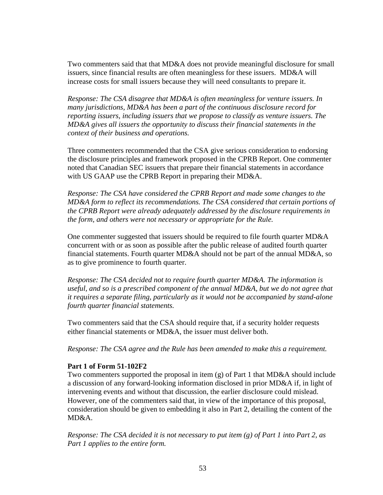Two commenters said that that MD&A does not provide meaningful disclosure for small issuers, since financial results are often meaningless for these issuers. MD&A will increase costs for small issuers because they will need consultants to prepare it.

*Response: The CSA disagree that MD&A is often meaningless for venture issuers. In many jurisdictions, MD&A has been a part of the continuous disclosure record for reporting issuers, including issuers that we propose to classify as venture issuers. The MD&A gives all issuers the opportunity to discuss their financial statements in the context of their business and operations.* 

Three commenters recommended that the CSA give serious consideration to endorsing the disclosure principles and framework proposed in the CPRB Report. One commenter noted that Canadian SEC issuers that prepare their financial statements in accordance with US GAAP use the CPRB Report in preparing their MD&A.

*Response: The CSA have considered the CPRB Report and made some changes to the MD&A form to reflect its recommendations. The CSA considered that certain portions of the CPRB Report were already adequately addressed by the disclosure requirements in the form, and others were not necessary or appropriate for the Rule.* 

One commenter suggested that issuers should be required to file fourth quarter MD&A concurrent with or as soon as possible after the public release of audited fourth quarter financial statements. Fourth quarter MD&A should not be part of the annual MD&A, so as to give prominence to fourth quarter.

*Response: The CSA decided not to require fourth quarter MD&A. The information is useful, and so is a prescribed component of the annual MD&A, but we do not agree that it requires a separate filing, particularly as it would not be accompanied by stand-alone fourth quarter financial statements.* 

Two commenters said that the CSA should require that, if a security holder requests either financial statements or MD&A, the issuer must deliver both.

*Response: The CSA agree and the Rule has been amended to make this a requirement.* 

## **Part 1 of Form 51-102F2**

Two commenters supported the proposal in item (g) of Part 1 that MD&A should include a discussion of any forward-looking information disclosed in prior MD&A if, in light of intervening events and without that discussion, the earlier disclosure could mislead. However, one of the commenters said that, in view of the importance of this proposal, consideration should be given to embedding it also in Part 2, detailing the content of the MD&A.

*Response: The CSA decided it is not necessary to put item (g) of Part 1 into Part 2, as Part 1 applies to the entire form.*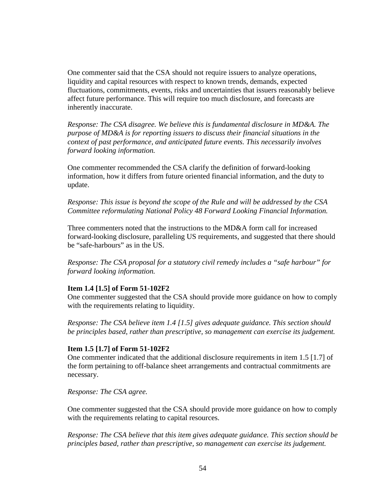One commenter said that the CSA should not require issuers to analyze operations, liquidity and capital resources with respect to known trends, demands, expected fluctuations, commitments, events, risks and uncertainties that issuers reasonably believe affect future performance. This will require too much disclosure, and forecasts are inherently inaccurate.

*Response: The CSA disagree. We believe this is fundamental disclosure in MD&A. The purpose of MD&A is for reporting issuers to discuss their financial situations in the context of past performance, and anticipated future events. This necessarily involves forward looking information.* 

One commenter recommended the CSA clarify the definition of forward-looking information, how it differs from future oriented financial information, and the duty to update.

*Response: This issue is beyond the scope of the Rule and will be addressed by the CSA Committee reformulating National Policy 48 Forward Looking Financial Information.* 

Three commenters noted that the instructions to the MD&A form call for increased forward-looking disclosure, paralleling US requirements, and suggested that there should be "safe-harbours" as in the US.

*Response: The CSA proposal for a statutory civil remedy includes a "safe harbour" for forward looking information.* 

## **Item 1.4 [1.5] of Form 51-102F2**

One commenter suggested that the CSA should provide more guidance on how to comply with the requirements relating to liquidity.

*Response: The CSA believe item 1.4 [1.5] gives adequate guidance. This section should be principles based, rather than prescriptive, so management can exercise its judgement.* 

#### **Item 1.5 [1.7] of Form 51-102F2**

One commenter indicated that the additional disclosure requirements in item 1.5 [1.7] of the form pertaining to off-balance sheet arrangements and contractual commitments are necessary.

*Response: The CSA agree.* 

One commenter suggested that the CSA should provide more guidance on how to comply with the requirements relating to capital resources.

*Response: The CSA believe that this item gives adequate guidance. This section should be principles based, rather than prescriptive, so management can exercise its judgement.*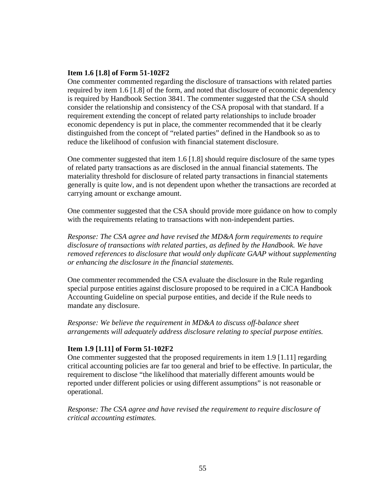### **Item 1.6 [1.8] of Form 51-102F2**

One commenter commented regarding the disclosure of transactions with related parties required by item 1.6 [1.8] of the form, and noted that disclosure of economic dependency is required by Handbook Section 3841. The commenter suggested that the CSA should consider the relationship and consistency of the CSA proposal with that standard. If a requirement extending the concept of related party relationships to include broader economic dependency is put in place, the commenter recommended that it be clearly distinguished from the concept of "related parties" defined in the Handbook so as to reduce the likelihood of confusion with financial statement disclosure.

One commenter suggested that item 1.6 [1.8] should require disclosure of the same types of related party transactions as are disclosed in the annual financial statements. The materiality threshold for disclosure of related party transactions in financial statements generally is quite low, and is not dependent upon whether the transactions are recorded at carrying amount or exchange amount.

One commenter suggested that the CSA should provide more guidance on how to comply with the requirements relating to transactions with non-independent parties.

*Response: The CSA agree and have revised the MD&A form requirements to require disclosure of transactions with related parties, as defined by the Handbook. We have removed references to disclosure that would only duplicate GAAP without supplementing or enhancing the disclosure in the financial statements.* 

One commenter recommended the CSA evaluate the disclosure in the Rule regarding special purpose entities against disclosure proposed to be required in a CICA Handbook Accounting Guideline on special purpose entities, and decide if the Rule needs to mandate any disclosure.

*Response: We believe the requirement in MD&A to discuss off-balance sheet arrangements will adequately address disclosure relating to special purpose entities.* 

## **Item 1.9 [1.11] of Form 51-102F2**

One commenter suggested that the proposed requirements in item 1.9 [1.11] regarding critical accounting policies are far too general and brief to be effective. In particular, the requirement to disclose "the likelihood that materially different amounts would be reported under different policies or using different assumptions" is not reasonable or operational.

*Response: The CSA agree and have revised the requirement to require disclosure of critical accounting estimates.*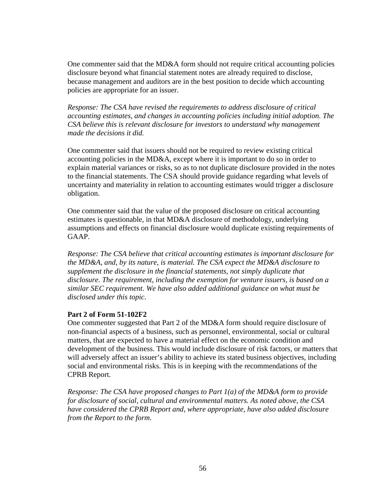One commenter said that the MD&A form should not require critical accounting policies disclosure beyond what financial statement notes are already required to disclose, because management and auditors are in the best position to decide which accounting policies are appropriate for an issuer.

*Response: The CSA have revised the requirements to address disclosure of critical accounting estimates, and changes in accounting policies including initial adoption. The CSA believe this is relevant disclosure for investors to understand why management made the decisions it did.* 

One commenter said that issuers should not be required to review existing critical accounting policies in the MD&A, except where it is important to do so in order to explain material variances or risks, so as to not duplicate disclosure provided in the notes to the financial statements. The CSA should provide guidance regarding what levels of uncertainty and materiality in relation to accounting estimates would trigger a disclosure obligation.

One commenter said that the value of the proposed disclosure on critical accounting estimates is questionable, in that MD&A disclosure of methodology, underlying assumptions and effects on financial disclosure would duplicate existing requirements of GAAP.

*Response: The CSA believe that critical accounting estimates is important disclosure for the MD&A, and, by its nature, is material. The CSA expect the MD&A disclosure to supplement the disclosure in the financial statements, not simply duplicate that disclosure. The requirement, including the exemption for venture issuers, is based on a similar SEC requirement. We have also added additional guidance on what must be disclosed under this topic.* 

## **Part 2 of Form 51-102F2**

One commenter suggested that Part 2 of the MD&A form should require disclosure of non-financial aspects of a business, such as personnel, environmental, social or cultural matters, that are expected to have a material effect on the economic condition and development of the business. This would include disclosure of risk factors, or matters that will adversely affect an issuer's ability to achieve its stated business objectives, including social and environmental risks. This is in keeping with the recommendations of the CPRB Report.

*Response: The CSA have proposed changes to Part 1(a) of the MD&A form to provide for disclosure of social, cultural and environmental matters. As noted above, the CSA have considered the CPRB Report and, where appropriate, have also added disclosure from the Report to the form.*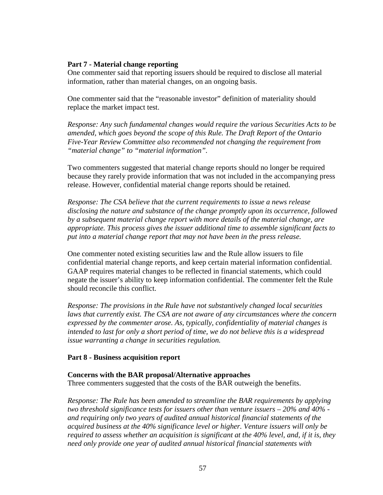## **Part 7 - Material change reporting**

One commenter said that reporting issuers should be required to disclose all material information, rather than material changes, on an ongoing basis.

One commenter said that the "reasonable investor" definition of materiality should replace the market impact test.

*Response: Any such fundamental changes would require the various Securities Acts to be amended, which goes beyond the scope of this Rule. The Draft Report of the Ontario Five-Year Review Committee also recommended not changing the requirement from "material change" to "material information".* 

Two commenters suggested that material change reports should no longer be required because they rarely provide information that was not included in the accompanying press release. However, confidential material change reports should be retained.

*Response: The CSA believe that the current requirements to issue a news release disclosing the nature and substance of the change promptly upon its occurrence, followed by a subsequent material change report with more details of the material change, are appropriate. This process gives the issuer additional time to assemble significant facts to put into a material change report that may not have been in the press release.* 

One commenter noted existing securities law and the Rule allow issuers to file confidential material change reports, and keep certain material information confidential. GAAP requires material changes to be reflected in financial statements, which could negate the issuer's ability to keep information confidential. The commenter felt the Rule should reconcile this conflict.

*Response: The provisions in the Rule have not substantively changed local securities laws that currently exist. The CSA are not aware of any circumstances where the concern expressed by the commenter arose. As, typically, confidentiality of material changes is intended to last for only a short period of time, we do not believe this is a widespread issue warranting a change in securities regulation.* 

# **Part 8 - Business acquisition report**

## **Concerns with the BAR proposal/Alternative approaches**

Three commenters suggested that the costs of the BAR outweigh the benefits.

*Response: The Rule has been amended to streamline the BAR requirements by applying two threshold significance tests for issuers other than venture issuers – 20% and 40% and requiring only two years of audited annual historical financial statements of the acquired business at the 40% significance level or higher. Venture issuers will only be required to assess whether an acquisition is significant at the 40% level, and, if it is, they need only provide one year of audited annual historical financial statements with*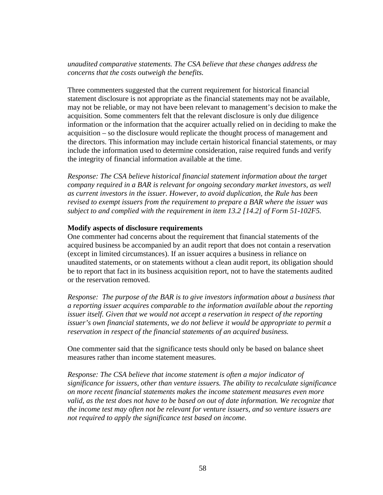# *unaudited comparative statements. The CSA believe that these changes address the concerns that the costs outweigh the benefits.*

Three commenters suggested that the current requirement for historical financial statement disclosure is not appropriate as the financial statements may not be available, may not be reliable, or may not have been relevant to management's decision to make the acquisition. Some commenters felt that the relevant disclosure is only due diligence information or the information that the acquirer actually relied on in deciding to make the acquisition – so the disclosure would replicate the thought process of management and the directors. This information may include certain historical financial statements, or may include the information used to determine consideration, raise required funds and verify the integrity of financial information available at the time.

*Response: The CSA believe historical financial statement information about the target company required in a BAR is relevant for ongoing secondary market investors, as well as current investors in the issuer. However, to avoid duplication, the Rule has been revised to exempt issuers from the requirement to prepare a BAR where the issuer was subject to and complied with the requirement in item 13.2 [14.2] of Form 51-102F5.* 

## **Modify aspects of disclosure requirements**

One commenter had concerns about the requirement that financial statements of the acquired business be accompanied by an audit report that does not contain a reservation (except in limited circumstances). If an issuer acquires a business in reliance on unaudited statements, or on statements without a clean audit report, its obligation should be to report that fact in its business acquisition report, not to have the statements audited or the reservation removed.

*Response: The purpose of the BAR is to give investors information about a business that a reporting issuer acquires comparable to the information available about the reporting issuer itself. Given that we would not accept a reservation in respect of the reporting issuer's own financial statements, we do not believe it would be appropriate to permit a reservation in respect of the financial statements of an acquired business.* 

One commenter said that the significance tests should only be based on balance sheet measures rather than income statement measures.

*Response: The CSA believe that income statement is often a major indicator of significance for issuers, other than venture issuers. The ability to recalculate significance on more recent financial statements makes the income statement measures even more valid, as the test does not have to be based on out of date information. We recognize that the income test may often not be relevant for venture issuers, and so venture issuers are not required to apply the significance test based on income.*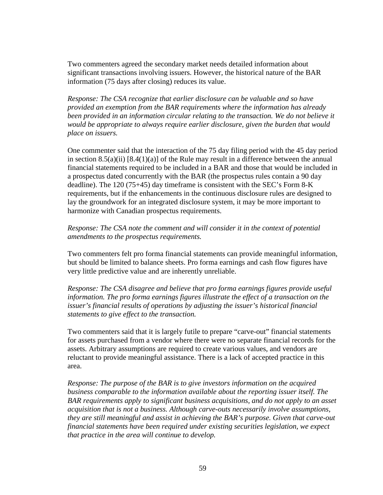Two commenters agreed the secondary market needs detailed information about significant transactions involving issuers. However, the historical nature of the BAR information (75 days after closing) reduces its value.

*Response: The CSA recognize that earlier disclosure can be valuable and so have provided an exemption from the BAR requirements where the information has already*  been provided in an information circular relating to the transaction. We do not believe it *would be appropriate to always require earlier disclosure, given the burden that would place on issuers.* 

One commenter said that the interaction of the 75 day filing period with the 45 day period in section 8.5(a)(ii)  $[8.4(1)(a)]$  of the Rule may result in a difference between the annual financial statements required to be included in a BAR and those that would be included in a prospectus dated concurrently with the BAR (the prospectus rules contain a 90 day deadline). The 120 (75+45) day timeframe is consistent with the SEC's Form 8-K requirements, but if the enhancements in the continuous disclosure rules are designed to lay the groundwork for an integrated disclosure system, it may be more important to harmonize with Canadian prospectus requirements.

*Response: The CSA note the comment and will consider it in the context of potential amendments to the prospectus requirements.* 

Two commenters felt pro forma financial statements can provide meaningful information, but should be limited to balance sheets. Pro forma earnings and cash flow figures have very little predictive value and are inherently unreliable.

*Response: The CSA disagree and believe that pro forma earnings figures provide useful information. The pro forma earnings figures illustrate the effect of a transaction on the issuer's financial results of operations by adjusting the issuer's historical financial statements to give effect to the transaction.* 

Two commenters said that it is largely futile to prepare "carve-out" financial statements for assets purchased from a vendor where there were no separate financial records for the assets. Arbitrary assumptions are required to create various values, and vendors are reluctant to provide meaningful assistance. There is a lack of accepted practice in this area.

*Response: The purpose of the BAR is to give investors information on the acquired business comparable to the information available about the reporting issuer itself. The BAR requirements apply to significant business acquisitions, and do not apply to an asset acquisition that is not a business. Although carve-outs necessarily involve assumptions, they are still meaningful and assist in achieving the BAR's purpose. Given that carve-out financial statements have been required under existing securities legislation, we expect that practice in the area will continue to develop.*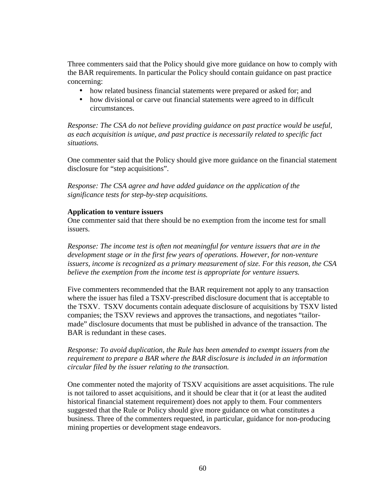Three commenters said that the Policy should give more guidance on how to comply with the BAR requirements. In particular the Policy should contain guidance on past practice concerning:

- how related business financial statements were prepared or asked for; and
- how divisional or carve out financial statements were agreed to in difficult circumstances.

*Response: The CSA do not believe providing guidance on past practice would be useful, as each acquisition is unique, and past practice is necessarily related to specific fact situations.* 

One commenter said that the Policy should give more guidance on the financial statement disclosure for "step acquisitions".

*Response: The CSA agree and have added guidance on the application of the significance tests for step-by-step acquisitions.* 

### **Application to venture issuers**

One commenter said that there should be no exemption from the income test for small issuers.

*Response: The income test is often not meaningful for venture issuers that are in the development stage or in the first few years of operations. However, for non-venture issuers, income is recognized as a primary measurement of size. For this reason, the CSA believe the exemption from the income test is appropriate for venture issuers.* 

Five commenters recommended that the BAR requirement not apply to any transaction where the issuer has filed a TSXV-prescribed disclosure document that is acceptable to the TSXV. TSXV documents contain adequate disclosure of acquisitions by TSXV listed companies; the TSXV reviews and approves the transactions, and negotiates "tailormade" disclosure documents that must be published in advance of the transaction. The BAR is redundant in these cases.

# *Response: To avoid duplication, the Rule has been amended to exempt issuers from the requirement to prepare a BAR where the BAR disclosure is included in an information circular filed by the issuer relating to the transaction.*

One commenter noted the majority of TSXV acquisitions are asset acquisitions. The rule is not tailored to asset acquisitions, and it should be clear that it (or at least the audited historical financial statement requirement) does not apply to them. Four commenters suggested that the Rule or Policy should give more guidance on what constitutes a business. Three of the commenters requested, in particular, guidance for non-producing mining properties or development stage endeavors.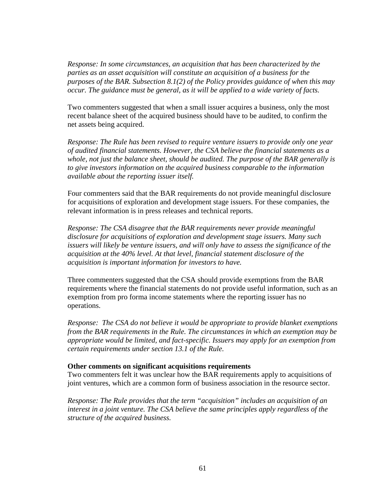*Response: In some circumstances, an acquisition that has been characterized by the parties as an asset acquisition will constitute an acquisition of a business for the purposes of the BAR. Subsection 8.1(2) of the Policy provides guidance of when this may occur. The guidance must be general, as it will be applied to a wide variety of facts.* 

Two commenters suggested that when a small issuer acquires a business, only the most recent balance sheet of the acquired business should have to be audited, to confirm the net assets being acquired.

*Response: The Rule has been revised to require venture issuers to provide only one year of audited financial statements. However, the CSA believe the financial statements as a whole, not just the balance sheet, should be audited. The purpose of the BAR generally is to give investors information on the acquired business comparable to the information available about the reporting issuer itself.* 

Four commenters said that the BAR requirements do not provide meaningful disclosure for acquisitions of exploration and development stage issuers. For these companies, the relevant information is in press releases and technical reports.

*Response: The CSA disagree that the BAR requirements never provide meaningful disclosure for acquisitions of exploration and development stage issuers. Many such issuers will likely be venture issuers, and will only have to assess the significance of the acquisition at the 40% level. At that level, financial statement disclosure of the acquisition is important information for investors to have.* 

Three commenters suggested that the CSA should provide exemptions from the BAR requirements where the financial statements do not provide useful information, such as an exemption from pro forma income statements where the reporting issuer has no operations.

*Response: The CSA do not believe it would be appropriate to provide blanket exemptions from the BAR requirements in the Rule. The circumstances in which an exemption may be appropriate would be limited, and fact-specific. Issuers may apply for an exemption from certain requirements under section 13.1 of the Rule.* 

#### **Other comments on significant acquisitions requirements**

Two commenters felt it was unclear how the BAR requirements apply to acquisitions of joint ventures, which are a common form of business association in the resource sector.

*Response: The Rule provides that the term "acquisition" includes an acquisition of an interest in a joint venture. The CSA believe the same principles apply regardless of the structure of the acquired business.*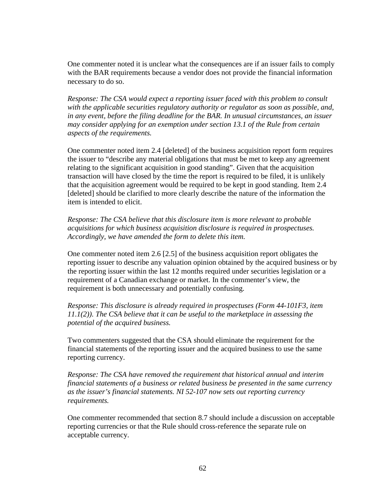One commenter noted it is unclear what the consequences are if an issuer fails to comply with the BAR requirements because a vendor does not provide the financial information necessary to do so.

*Response: The CSA would expect a reporting issuer faced with this problem to consult with the applicable securities regulatory authority or regulator as soon as possible, and, in any event, before the filing deadline for the BAR. In unusual circumstances, an issuer may consider applying for an exemption under section 13.1 of the Rule from certain aspects of the requirements.* 

One commenter noted item 2.4 [deleted] of the business acquisition report form requires the issuer to "describe any material obligations that must be met to keep any agreement relating to the significant acquisition in good standing". Given that the acquisition transaction will have closed by the time the report is required to be filed, it is unlikely that the acquisition agreement would be required to be kept in good standing. Item 2.4 [deleted] should be clarified to more clearly describe the nature of the information the item is intended to elicit.

*Response: The CSA believe that this disclosure item is more relevant to probable acquisitions for which business acquisition disclosure is required in prospectuses. Accordingly, we have amended the form to delete this item.* 

One commenter noted item 2.6 [2.5] of the business acquisition report obligates the reporting issuer to describe any valuation opinion obtained by the acquired business or by the reporting issuer within the last 12 months required under securities legislation or a requirement of a Canadian exchange or market. In the commenter's view, the requirement is both unnecessary and potentially confusing.

*Response: This disclosure is already required in prospectuses (Form 44-101F3, item 11.1(2)). The CSA believe that it can be useful to the marketplace in assessing the potential of the acquired business.* 

Two commenters suggested that the CSA should eliminate the requirement for the financial statements of the reporting issuer and the acquired business to use the same reporting currency.

*Response: The CSA have removed the requirement that historical annual and interim financial statements of a business or related business be presented in the same currency as the issuer's financial statements. NI 52-107 now sets out reporting currency requirements.* 

One commenter recommended that section 8.7 should include a discussion on acceptable reporting currencies or that the Rule should cross-reference the separate rule on acceptable currency.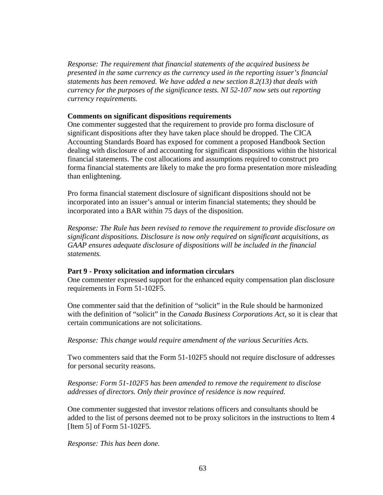*Response: The requirement that financial statements of the acquired business be presented in the same currency as the currency used in the reporting issuer's financial statements has been removed. We have added a new section 8.2(13) that deals with currency for the purposes of the significance tests. NI 52-107 now sets out reporting currency requirements.* 

## **Comments on significant dispositions requirements**

One commenter suggested that the requirement to provide pro forma disclosure of significant dispositions after they have taken place should be dropped. The CICA Accounting Standards Board has exposed for comment a proposed Handbook Section dealing with disclosure of and accounting for significant dispositions within the historical financial statements. The cost allocations and assumptions required to construct pro forma financial statements are likely to make the pro forma presentation more misleading than enlightening.

Pro forma financial statement disclosure of significant dispositions should not be incorporated into an issuer's annual or interim financial statements; they should be incorporated into a BAR within 75 days of the disposition.

*Response: The Rule has been revised to remove the requirement to provide disclosure on significant dispositions. Disclosure is now only required on significant acquisitions, as GAAP ensures adequate disclosure of dispositions will be included in the financial statements.* 

## **Part 9 - Proxy solicitation and information circulars**

One commenter expressed support for the enhanced equity compensation plan disclosure requirements in Form 51-102F5.

One commenter said that the definition of "solicit" in the Rule should be harmonized with the definition of "solicit" in the *Canada Business Corporations Act*, so it is clear that certain communications are not solicitations.

*Response: This change would require amendment of the various Securities Acts.* 

Two commenters said that the Form 51-102F5 should not require disclosure of addresses for personal security reasons.

*Response: Form 51-102F5 has been amended to remove the requirement to disclose addresses of directors. Only their province of residence is now required.* 

One commenter suggested that investor relations officers and consultants should be added to the list of persons deemed not to be proxy solicitors in the instructions to Item 4 [Item 5] of Form 51-102F5.

*Response: This has been done.*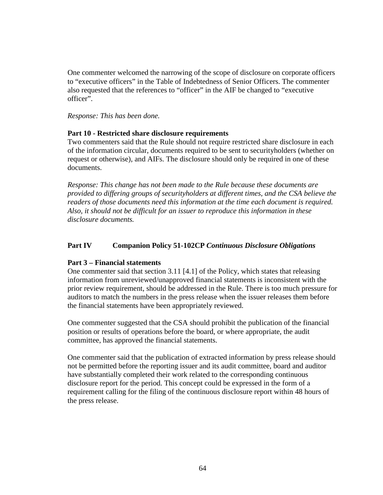One commenter welcomed the narrowing of the scope of disclosure on corporate officers to "executive officers" in the Table of Indebtedness of Senior Officers. The commenter also requested that the references to "officer" in the AIF be changed to "executive officer".

### *Response: This has been done.*

## **Part 10 - Restricted share disclosure requirements**

Two commenters said that the Rule should not require restricted share disclosure in each of the information circular, documents required to be sent to securityholders (whether on request or otherwise), and AIFs. The disclosure should only be required in one of these documents.

*Response: This change has not been made to the Rule because these documents are provided to differing groups of securityholders at different times, and the CSA believe the readers of those documents need this information at the time each document is required. Also, it should not be difficult for an issuer to reproduce this information in these disclosure documents.* 

## **Part IV Companion Policy 51-102CP** *Continuous Disclosure Obligations*

## **Part 3 – Financial statements**

One commenter said that section 3.11 [4.1] of the Policy, which states that releasing information from unreviewed/unapproved financial statements is inconsistent with the prior review requirement, should be addressed in the Rule. There is too much pressure for auditors to match the numbers in the press release when the issuer releases them before the financial statements have been appropriately reviewed.

One commenter suggested that the CSA should prohibit the publication of the financial position or results of operations before the board, or where appropriate, the audit committee, has approved the financial statements.

One commenter said that the publication of extracted information by press release should not be permitted before the reporting issuer and its audit committee, board and auditor have substantially completed their work related to the corresponding continuous disclosure report for the period. This concept could be expressed in the form of a requirement calling for the filing of the continuous disclosure report within 48 hours of the press release.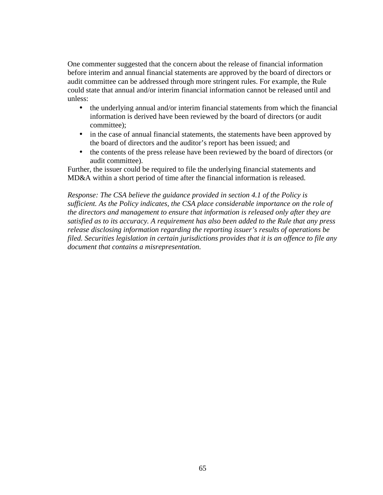One commenter suggested that the concern about the release of financial information before interim and annual financial statements are approved by the board of directors or audit committee can be addressed through more stringent rules. For example, the Rule could state that annual and/or interim financial information cannot be released until and unless:

- the underlying annual and/or interim financial statements from which the financial information is derived have been reviewed by the board of directors (or audit committee);
- in the case of annual financial statements, the statements have been approved by the board of directors and the auditor's report has been issued; and
- the contents of the press release have been reviewed by the board of directors (or audit committee).

Further, the issuer could be required to file the underlying financial statements and MD&A within a short period of time after the financial information is released.

*Response: The CSA believe the guidance provided in section 4.1 of the Policy is sufficient. As the Policy indicates, the CSA place considerable importance on the role of the directors and management to ensure that information is released only after they are satisfied as to its accuracy. A requirement has also been added to the Rule that any press release disclosing information regarding the reporting issuer's results of operations be filed. Securities legislation in certain jurisdictions provides that it is an offence to file any document that contains a misrepresentation.*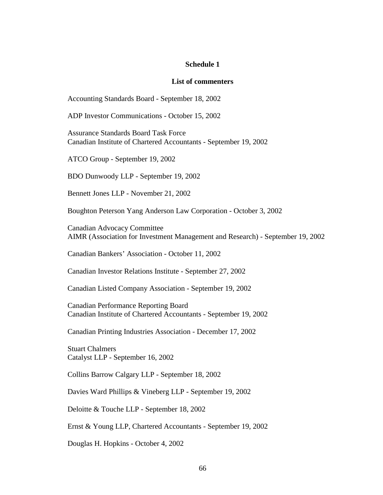#### **Schedule 1**

#### **List of commenters**

Accounting Standards Board - September 18, 2002

ADP Investor Communications - October 15, 2002

Assurance Standards Board Task Force Canadian Institute of Chartered Accountants - September 19, 2002

ATCO Group - September 19, 2002

BDO Dunwoody LLP - September 19, 2002

Bennett Jones LLP - November 21, 2002

Boughton Peterson Yang Anderson Law Corporation - October 3, 2002

Canadian Advocacy Committee AIMR (Association for Investment Management and Research) - September 19, 2002

Canadian Bankers' Association - October 11, 2002

Canadian Investor Relations Institute - September 27, 2002

Canadian Listed Company Association - September 19, 2002

Canadian Performance Reporting Board Canadian Institute of Chartered Accountants - September 19, 2002

Canadian Printing Industries Association - December 17, 2002

Stuart Chalmers Catalyst LLP - September 16, 2002

Collins Barrow Calgary LLP - September 18, 2002

Davies Ward Phillips & Vineberg LLP - September 19, 2002

Deloitte & Touche LLP - September 18, 2002

Ernst & Young LLP, Chartered Accountants - September 19, 2002

Douglas H. Hopkins - October 4, 2002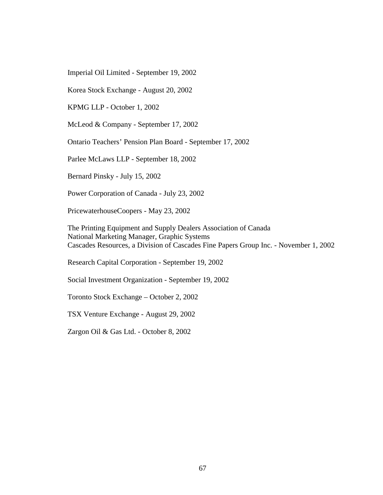Imperial Oil Limited - September 19, 2002

Korea Stock Exchange - August 20, 2002

KPMG LLP - October 1, 2002

McLeod & Company - September 17, 2002

Ontario Teachers' Pension Plan Board - September 17, 2002

Parlee McLaws LLP - September 18, 2002

Bernard Pinsky - July 15, 2002

Power Corporation of Canada - July 23, 2002

PricewaterhouseCoopers - May 23, 2002

The Printing Equipment and Supply Dealers Association of Canada National Marketing Manager, Graphic Systems Cascades Resources, a Division of Cascades Fine Papers Group Inc. - November 1, 2002

Research Capital Corporation - September 19, 2002

Social Investment Organization - September 19, 2002

Toronto Stock Exchange – October 2, 2002

TSX Venture Exchange - August 29, 2002

Zargon Oil & Gas Ltd. - October 8, 2002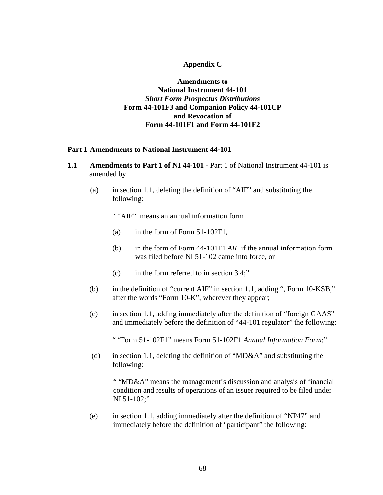## **Appendix C**

**Amendments to National Instrument 44-101**  *Short Form Prospectus Distributions* **Form 44-101F3 and Companion Policy 44-101CP and Revocation of Form 44-101F1 and Form 44-101F2** 

#### **Part 1 Amendments to National Instrument 44-101**

- **1.1 Amendments to Part 1 of NI 44-101** Part 1 of National Instrument 44-101 is amended by
	- (a) in section 1.1, deleting the definition of "AIF" and substituting the following:

" "AIF" means an annual information form

- (a) in the form of Form 51-102F1,
- (b) in the form of Form 44-101F1 *AIF* if the annual information form was filed before NI 51-102 came into force, or
- (c) in the form referred to in section 3.4;"
- (b) in the definition of "current AIF" in section 1.1, adding ", Form 10-KSB," after the words "Form 10-K", wherever they appear;
- (c) in section 1.1, adding immediately after the definition of "foreign GAAS" and immediately before the definition of "44-101 regulator" the following:

" "Form 51-102F1" means Form 51-102F1 *Annual Information Form*;"

(d) in section 1.1, deleting the definition of "MD&A" and substituting the following:

" "MD&A" means the management's discussion and analysis of financial condition and results of operations of an issuer required to be filed under NI 51-102;"

(e) in section 1.1, adding immediately after the definition of "NP47" and immediately before the definition of "participant" the following: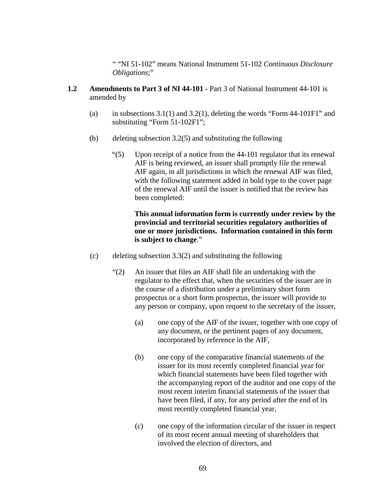" "NI 51-102" means National Instrument 51-102 *Continuous Disclosure Obligations*;"

- **1.2 Amendments to Part 3 of NI 44-101 Part 3 of National Instrument 44-101 is** amended by
	- (a) in subsections  $3.1(1)$  and  $3.2(1)$ , deleting the words "Form  $44-101F1$ " and substituting "Form 51-102F1";
	- (b) deleting subsection 3.2(5) and substituting the following
		- "(5) Upon receipt of a notice from the 44-101 regulator that its renewal AIF is being reviewed, an issuer shall promptly file the renewal AIF again, in all jurisdictions in which the renewal AIF was filed, with the following statement added in bold type to the cover page of the renewal AIF until the issuer is notified that the review has been completed:

# **This annual information form is currently under review by the provincial and territorial securities regulatory authorities of one or more jurisdictions. Information contained in this form is subject to change**."

- (c) deleting subsection 3.3(2) and substituting the following
	- "(2) An issuer that files an AIF shall file an undertaking with the regulator to the effect that, when the securities of the issuer are in the course of a distribution under a preliminary short form prospectus or a short form prospectus, the issuer will provide to any person or company, upon request to the secretary of the issuer,
		- (a) one copy of the AIF of the issuer, together with one copy of any document, or the pertinent pages of any document, incorporated by reference in the AIF,
		- (b) one copy of the comparative financial statements of the issuer for its most recently completed financial year for which financial statements have been filed together with the accompanying report of the auditor and one copy of the most recent interim financial statements of the issuer that have been filed, if any, for any period after the end of its most recently completed financial year,
		- (c) one copy of the information circular of the issuer in respect of its most recent annual meeting of shareholders that involved the election of directors, and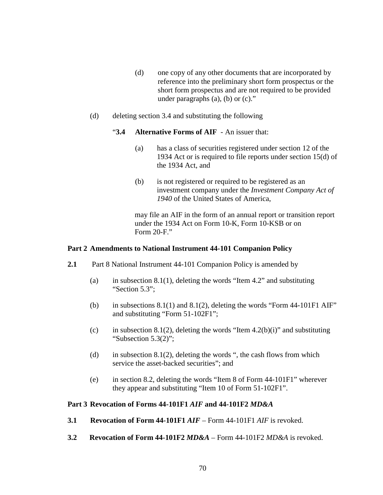- (d) one copy of any other documents that are incorporated by reference into the preliminary short form prospectus or the short form prospectus and are not required to be provided under paragraphs (a), (b) or (c)."
- (d) deleting section 3.4 and substituting the following

### "**3.4 Alternative Forms of AIF** - An issuer that:

- (a) has a class of securities registered under section 12 of the 1934 Act or is required to file reports under section 15(d) of the 1934 Act, and
- (b) is not registered or required to be registered as an investment company under the *Investment Company Act of 1940* of the United States of America,

may file an AIF in the form of an annual report or transition report under the 1934 Act on Form 10-K, Form 10-KSB or on Form 20-F."

#### **Part 2 Amendments to National Instrument 44-101 Companion Policy**

- **2.1** Part 8 National Instrument 44-101 Companion Policy is amended by
	- (a) in subsection 8.1(1), deleting the words "Item 4.2" and substituting "Section 5.3";
	- (b) in subsections  $8.1(1)$  and  $8.1(2)$ , deleting the words "Form 44-101F1 AIF" and substituting "Form 51-102F1";
	- (c) in subsection 8.1(2), deleting the words "Item 4.2(b)(i)" and substituting "Subsection 5.3(2)";
	- (d) in subsection 8.1(2), deleting the words ", the cash flows from which service the asset-backed securities"; and
	- (e) in section 8.2, deleting the words "Item 8 of Form 44-101F1" wherever they appear and substituting "Item 10 of Form 51-102F1".

## **Part 3 Revocation of Forms 44-101F1** *AIF* **and 44-101F2** *MD&A*

- **3.1 Revocation of Form 44-101F1** *AIF*  Form 44-101F1 *AIF* is revoked.
- **3.2 Revocation of Form 44-101F2** *MD&A*  Form 44-101F2 *MD&A* is revoked.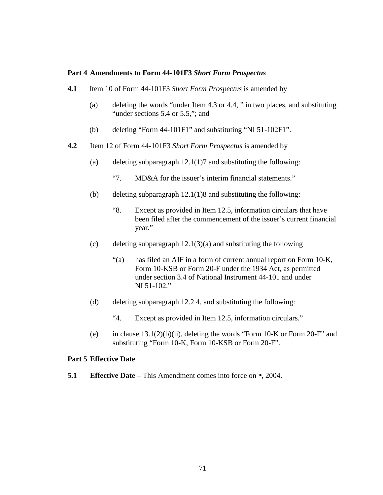#### **Part 4 Amendments to Form 44-101F3** *Short Form Prospectus*

- **4.1** Item 10 of Form 44-101F3 *Short Form Prospectus* is amended by
	- (a) deleting the words "under Item 4.3 or 4.4, " in two places, and substituting "under sections 5.4 or 5.5,"; and
	- (b) deleting "Form 44-101F1" and substituting "NI 51-102F1".
- **4.2** Item 12 of Form 44-101F3 *Short Form Prospectus* is amended by
	- (a) deleting subparagraph  $12.1(1)7$  and substituting the following:
		- "7. MD&A for the issuer's interim financial statements."
	- (b) deleting subparagraph 12.1(1)8 and substituting the following:
		- "8. Except as provided in Item 12.5, information circulars that have been filed after the commencement of the issuer's current financial year."
	- (c) deleting subparagraph  $12.1(3)(a)$  and substituting the following
		- "(a) has filed an AIF in a form of current annual report on Form 10-K, Form 10-KSB or Form 20-F under the 1934 Act, as permitted under section 3.4 of National Instrument 44-101 and under NI 51-102."
	- (d) deleting subparagraph  $12.2$  4. and substituting the following:
		- "4. Except as provided in Item 12.5, information circulars."
	- (e) in clause  $13.1(2)(b)(ii)$ , deleting the words "Form 10-K or Form 20-F" and substituting "Form 10-K, Form 10-KSB or Form 20-F".

## **Part 5 Effective Date**

**5.1** Effective Date – This Amendment comes into force on  $\bullet$ , 2004.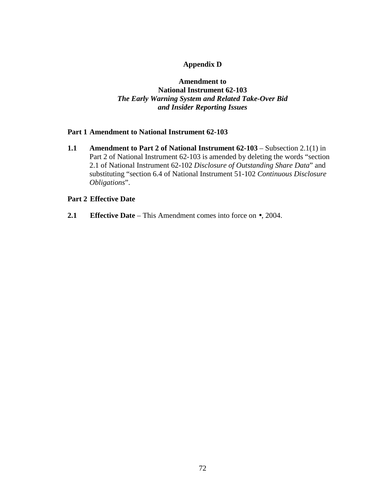# **Appendix D**

# **Amendment to National Instrument 62-103**  *The Early Warning System and Related Take-Over Bid and Insider Reporting Issues*

## **Part 1 Amendment to National Instrument 62-103**

**1.1 Amendment to Part 2 of National Instrument 62-103** – Subsection 2.1(1) in Part 2 of National Instrument 62-103 is amended by deleting the words "section 2.1 of National Instrument 62-102 *Disclosure of Outstanding Share Data*" and substituting "section 6.4 of National Instrument 51-102 *Continuous Disclosure Obligations*".

### **Part 2 Effective Date**

**2.1 Effective Date** – This Amendment comes into force on •, 2004.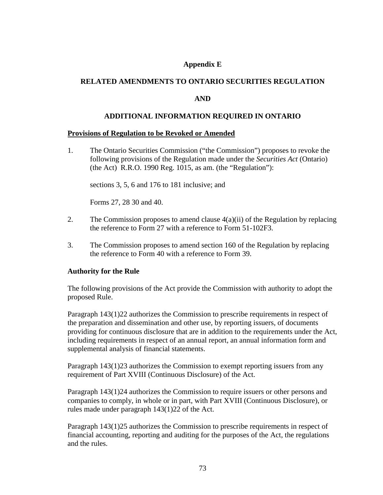## **Appendix E**

### **RELATED AMENDMENTS TO ONTARIO SECURITIES REGULATION**

### **AND**

### **ADDITIONAL INFORMATION REQUIRED IN ONTARIO**

#### **Provisions of Regulation to be Revoked or Amended**

1. The Ontario Securities Commission ("the Commission") proposes to revoke the following provisions of the Regulation made under the *Securities Act* (Ontario) (the Act) R.R.O. 1990 Reg. 1015, as am. (the "Regulation"):

sections 3, 5, 6 and 176 to 181 inclusive; and

Forms 27, 28 30 and 40.

- 2. The Commission proposes to amend clause 4(a)(ii) of the Regulation by replacing the reference to Form 27 with a reference to Form 51-102F3.
- 3. The Commission proposes to amend section 160 of the Regulation by replacing the reference to Form 40 with a reference to Form 39.

### **Authority for the Rule**

The following provisions of the Act provide the Commission with authority to adopt the proposed Rule.

Paragraph 143(1)22 authorizes the Commission to prescribe requirements in respect of the preparation and dissemination and other use, by reporting issuers, of documents providing for continuous disclosure that are in addition to the requirements under the Act, including requirements in respect of an annual report, an annual information form and supplemental analysis of financial statements.

Paragraph 143(1)23 authorizes the Commission to exempt reporting issuers from any requirement of Part XVIII (Continuous Disclosure) of the Act.

Paragraph 143(1)24 authorizes the Commission to require issuers or other persons and companies to comply, in whole or in part, with Part XVIII (Continuous Disclosure), or rules made under paragraph 143(1)22 of the Act.

Paragraph 143(1)25 authorizes the Commission to prescribe requirements in respect of financial accounting, reporting and auditing for the purposes of the Act, the regulations and the rules.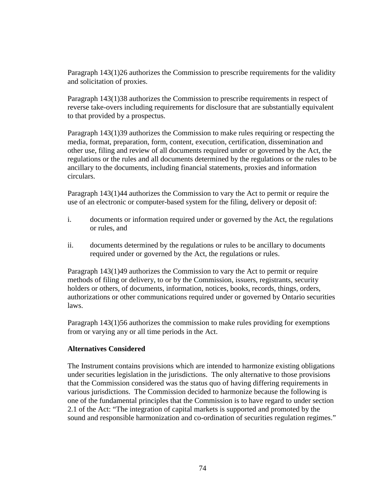Paragraph 143(1)26 authorizes the Commission to prescribe requirements for the validity and solicitation of proxies.

Paragraph 143(1)38 authorizes the Commission to prescribe requirements in respect of reverse take-overs including requirements for disclosure that are substantially equivalent to that provided by a prospectus.

Paragraph 143(1)39 authorizes the Commission to make rules requiring or respecting the media, format, preparation, form, content, execution, certification, dissemination and other use, filing and review of all documents required under or governed by the Act, the regulations or the rules and all documents determined by the regulations or the rules to be ancillary to the documents, including financial statements, proxies and information circulars.

Paragraph 143(1)44 authorizes the Commission to vary the Act to permit or require the use of an electronic or computer-based system for the filing, delivery or deposit of:

- i. documents or information required under or governed by the Act, the regulations or rules, and
- ii. documents determined by the regulations or rules to be ancillary to documents required under or governed by the Act, the regulations or rules.

Paragraph 143(1)49 authorizes the Commission to vary the Act to permit or require methods of filing or delivery, to or by the Commission, issuers, registrants, security holders or others, of documents, information, notices, books, records, things, orders, authorizations or other communications required under or governed by Ontario securities laws.

Paragraph 143(1)56 authorizes the commission to make rules providing for exemptions from or varying any or all time periods in the Act.

# **Alternatives Considered**

The Instrument contains provisions which are intended to harmonize existing obligations under securities legislation in the jurisdictions. The only alternative to those provisions that the Commission considered was the status quo of having differing requirements in various jurisdictions. The Commission decided to harmonize because the following is one of the fundamental principles that the Commission is to have regard to under section 2.1 of the Act: "The integration of capital markets is supported and promoted by the sound and responsible harmonization and co-ordination of securities regulation regimes."